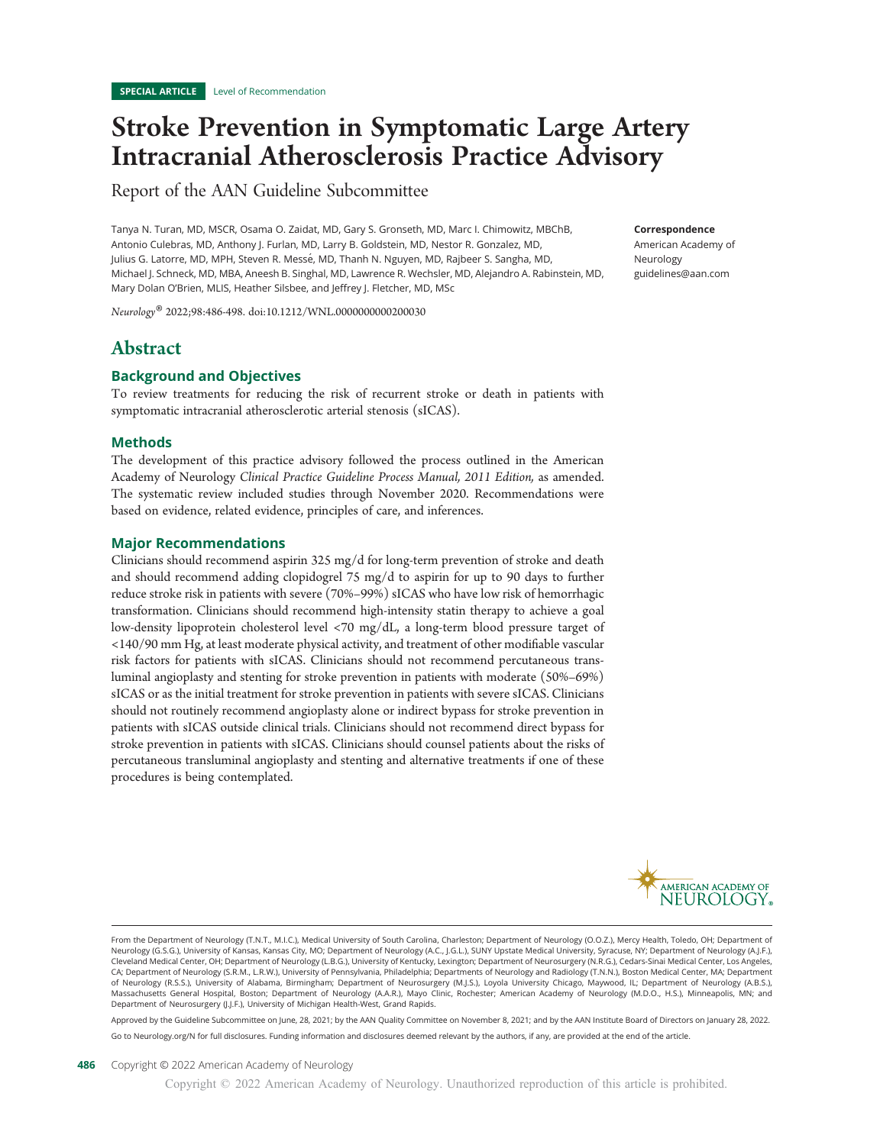# Stroke Prevention in Symptomatic Large Artery Intracranial Atherosclerosis Practice Advisory

Report of the AAN Guideline Subcommittee

Tanya N. Turan, MD, MSCR, Osama O. Zaidat, MD, Gary S. Gronseth, MD, Marc I. Chimowitz, MBChB, Antonio Culebras, MD, Anthony J. Furlan, MD, Larry B. Goldstein, MD, Nestor R. Gonzalez, MD, Julius G. Latorre, MD, MPH, Steven R. Messé, MD, Thanh N. Nguyen, MD, Rajbeer S. Sangha, MD, Michael J. Schneck, MD, MBA, Aneesh B. Singhal, MD, Lawrence R. Wechsler, MD, Alejandro A. Rabinstein, MD, Mary Dolan O'Brien, MLIS, Heather Silsbee, and Jeffrey J. Fletcher, MD, MSc

Neurology® 2022;98:486-498. doi:10.1212/WNL.0000000000200030

# Abstract

## Background and Objectives

To review treatments for reducing the risk of recurrent stroke or death in patients with symptomatic intracranial atherosclerotic arterial stenosis (sICAS).

## Methods

The development of this practice advisory followed the process outlined in the American Academy of Neurology Clinical Practice Guideline Process Manual, 2011 Edition, as amended. The systematic review included studies through November 2020. Recommendations were based on evidence, related evidence, principles of care, and inferences.

## Major Recommendations

Clinicians should recommend aspirin 325 mg/d for long-term prevention of stroke and death and should recommend adding clopidogrel 75 mg/d to aspirin for up to 90 days to further reduce stroke risk in patients with severe (70%–99%) sICAS who have low risk of hemorrhagic transformation. Clinicians should recommend high-intensity statin therapy to achieve a goal low-density lipoprotein cholesterol level <70 mg/dL, a long-term blood pressure target of <140/90 mm Hg, at least moderate physical activity, and treatment of other modifiable vascular risk factors for patients with sICAS. Clinicians should not recommend percutaneous transluminal angioplasty and stenting for stroke prevention in patients with moderate (50%–69%) sICAS or as the initial treatment for stroke prevention in patients with severe sICAS. Clinicians should not routinely recommend angioplasty alone or indirect bypass for stroke prevention in patients with sICAS outside clinical trials. Clinicians should not recommend direct bypass for stroke prevention in patients with sICAS. Clinicians should counsel patients about the risks of percutaneous transluminal angioplasty and stenting and alternative treatments if one of these procedures is being contemplated.



From the Department of Neurology (T.N.T., M.I.C.), Medical University of South Carolina, Charleston; Department of Neurology (O.O.Z.), Mercy Health, Toledo, OH; Department of Neurology (G.S.G.), University of Kansas, Kansas City, MO; Department of Neurology (A.C., J.G.L.), SUNY Upstate Medical University, Syracuse, NY; Department of Neurology (A.J.F.), Cleveland Medical Center, OH; Department of Neurology (L.B.G.), University of Kentucky, Lexington; Department of Neurosurgery (N.R.G.), Cedars-Sinai Medical Center, Los Angeles, CA; Department of Neurology (S.R.M., L.R.W.), University of Pennsylvania, Philadelphia; Departments of Neurology and Radiology (T.N.N.), Boston Medical Center, MA; Department of Neurology (R.S.S.), University of Alabama, Birmingham; Department of Neurosurgery (M.J.S.), Loyola University Chicago, Maywood, IL; Department of Neurology (A.B.S.), Massachusetts General Hospital, Boston; Department of Neurology (A.A.R.), Mayo Clinic, Rochester; American Academy of Neurology (M.D.O., H.S.), Minneapolis, MN; and Department of Neurosurgery (J.J.F.), University of Michigan Health-West, Grand Rapids.

Approved by the Guideline Subcommittee on June, 28, 2021; by the AAN Quality Committee on November 8, 2021; and by the AAN Institute Board of Directors on January 28, 2022. Go to [Neurology.org/N](https://n.neurology.org/lookup/doi/10.1212/WNL.0000000000200030) for full disclosures. Funding information and disclosures deemed relevant by the authors, if any, are provided at the end of the article.

## Neurology [guidelines@aan.com](mailto:guidelines@aan.com)

Correspondence American Academy of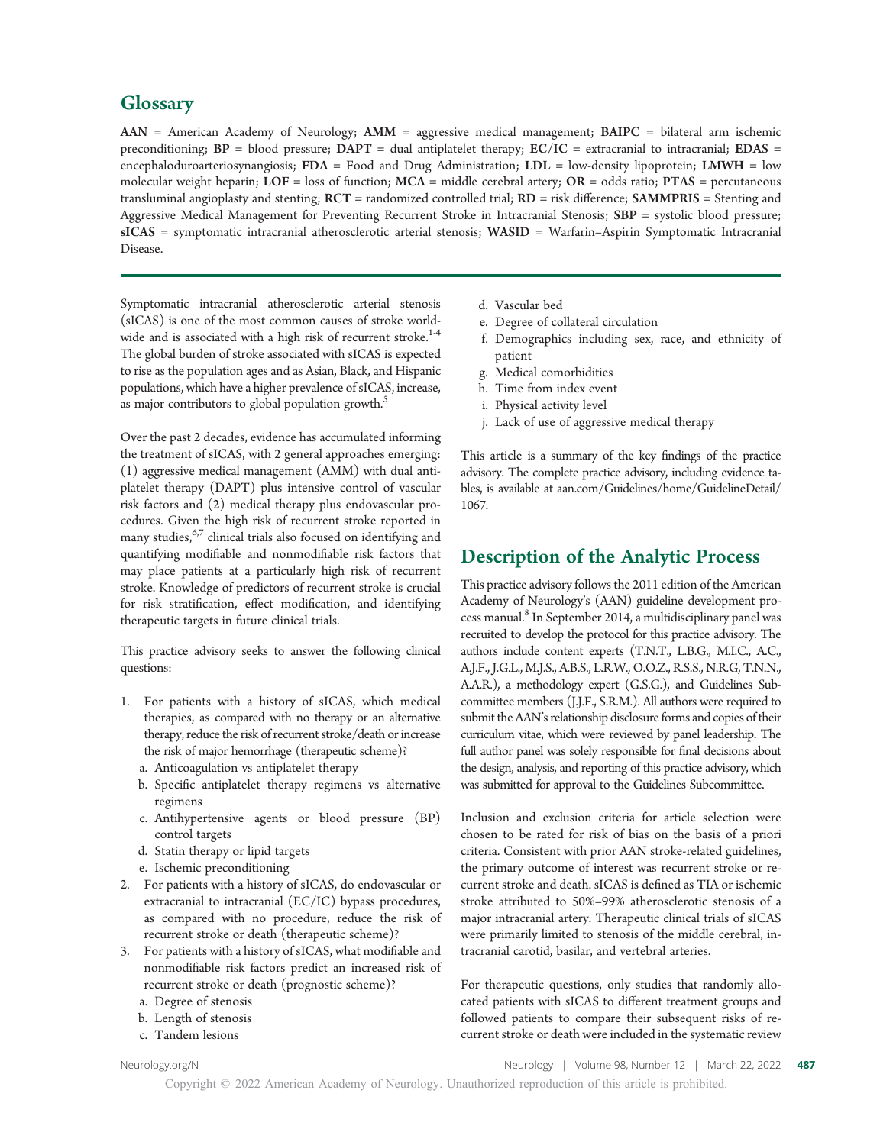## **Glossary**

AAN = American Academy of Neurology; AMM = aggressive medical management; BAIPC = bilateral arm ischemic preconditioning;  $BP = blood pressure$ ;  $DAPT = dual antiplatelet therapy$ ;  $EC/IC = extracranial to intracranial$ ;  $EDAS =$ encephaloduroarteriosynangiosis; FDA = Food and Drug Administration; LDL = low-density lipoprotein; LMWH = low molecular weight heparin;  $LOF =$  loss of function;  $MCA =$  middle cerebral artery;  $OR =$  odds ratio;  $PTAS =$  percutaneous transluminal angioplasty and stenting; RCT = randomized controlled trial; RD = risk difference; SAMMPRIS = Stenting and Aggressive Medical Management for Preventing Recurrent Stroke in Intracranial Stenosis; SBP = systolic blood pressure; sICAS = symptomatic intracranial atherosclerotic arterial stenosis; WASID = Warfarin–Aspirin Symptomatic Intracranial Disease.

Symptomatic intracranial atherosclerotic arterial stenosis (sICAS) is one of the most common causes of stroke worldwide and is associated with a high risk of recurrent stroke.<sup>1-4</sup> The global burden of stroke associated with sICAS is expected to rise as the population ages and as Asian, Black, and Hispanic populations, which have a higher prevalence of sICAS, increase, as major contributors to global population growth.<sup>5</sup>

Over the past 2 decades, evidence has accumulated informing the treatment of sICAS, with 2 general approaches emerging: (1) aggressive medical management (AMM) with dual antiplatelet therapy (DAPT) plus intensive control of vascular risk factors and (2) medical therapy plus endovascular procedures. Given the high risk of recurrent stroke reported in many studies,  $67$  clinical trials also focused on identifying and quantifying modifiable and nonmodifiable risk factors that may place patients at a particularly high risk of recurrent stroke. Knowledge of predictors of recurrent stroke is crucial for risk stratification, effect modification, and identifying therapeutic targets in future clinical trials.

This practice advisory seeks to answer the following clinical questions:

- For patients with a history of sICAS, which medical therapies, as compared with no therapy or an alternative therapy, reduce the risk of recurrent stroke/death or increase the risk of major hemorrhage (therapeutic scheme)?
	- a. Anticoagulation vs antiplatelet therapy
	- b. Specific antiplatelet therapy regimens vs alternative regimens
	- c. Antihypertensive agents or blood pressure (BP) control targets
	- d. Statin therapy or lipid targets
	- e. Ischemic preconditioning
- 2. For patients with a history of sICAS, do endovascular or extracranial to intracranial (EC/IC) bypass procedures, as compared with no procedure, reduce the risk of recurrent stroke or death (therapeutic scheme)?
- 3. For patients with a history of sICAS, what modifiable and nonmodifiable risk factors predict an increased risk of recurrent stroke or death (prognostic scheme)?
	- a. Degree of stenosis
	- b. Length of stenosis
	- c. Tandem lesions
- d. Vascular bed
- e. Degree of collateral circulation
- f. Demographics including sex, race, and ethnicity of patient
- g. Medical comorbidities
- h. Time from index event
- i. Physical activity level
- j. Lack of use of aggressive medical therapy

This article is a summary of the key findings of the practice advisory. The complete practice advisory, including evidence tables, is available at [aan.com/Guidelines/home/GuidelineDetail/](http://aan.com/Guidelines/home/GuidelineDetail/1067) [1067](http://aan.com/Guidelines/home/GuidelineDetail/1067).

# Description of the Analytic Process

This practice advisory follows the 2011 edition of the American Academy of Neurology's (AAN) guideline development process manual.<sup>8</sup> In September 2014, a multidisciplinary panel was recruited to develop the protocol for this practice advisory. The authors include content experts (T.N.T., L.B.G., M.I.C., A.C., A.J.F., J.G.L., M.J.S., A.B.S., L.R.W., O.O.Z., R.S.S., N.R.G, T.N.N., A.A.R.), a methodology expert (G.S.G.), and Guidelines Subcommittee members (J.J.F., S.R.M.). All authors were required to submit the AAN's relationship disclosure forms and copies of their curriculum vitae, which were reviewed by panel leadership. The full author panel was solely responsible for final decisions about the design, analysis, and reporting of this practice advisory, which was submitted for approval to the Guidelines Subcommittee.

Inclusion and exclusion criteria for article selection were chosen to be rated for risk of bias on the basis of a priori criteria. Consistent with prior AAN stroke-related guidelines, the primary outcome of interest was recurrent stroke or recurrent stroke and death. sICAS is defined as TIA or ischemic stroke attributed to 50%–99% atherosclerotic stenosis of a major intracranial artery. Therapeutic clinical trials of sICAS were primarily limited to stenosis of the middle cerebral, intracranial carotid, basilar, and vertebral arteries.

For therapeutic questions, only studies that randomly allocated patients with sICAS to different treatment groups and followed patients to compare their subsequent risks of recurrent stroke or death were included in the systematic review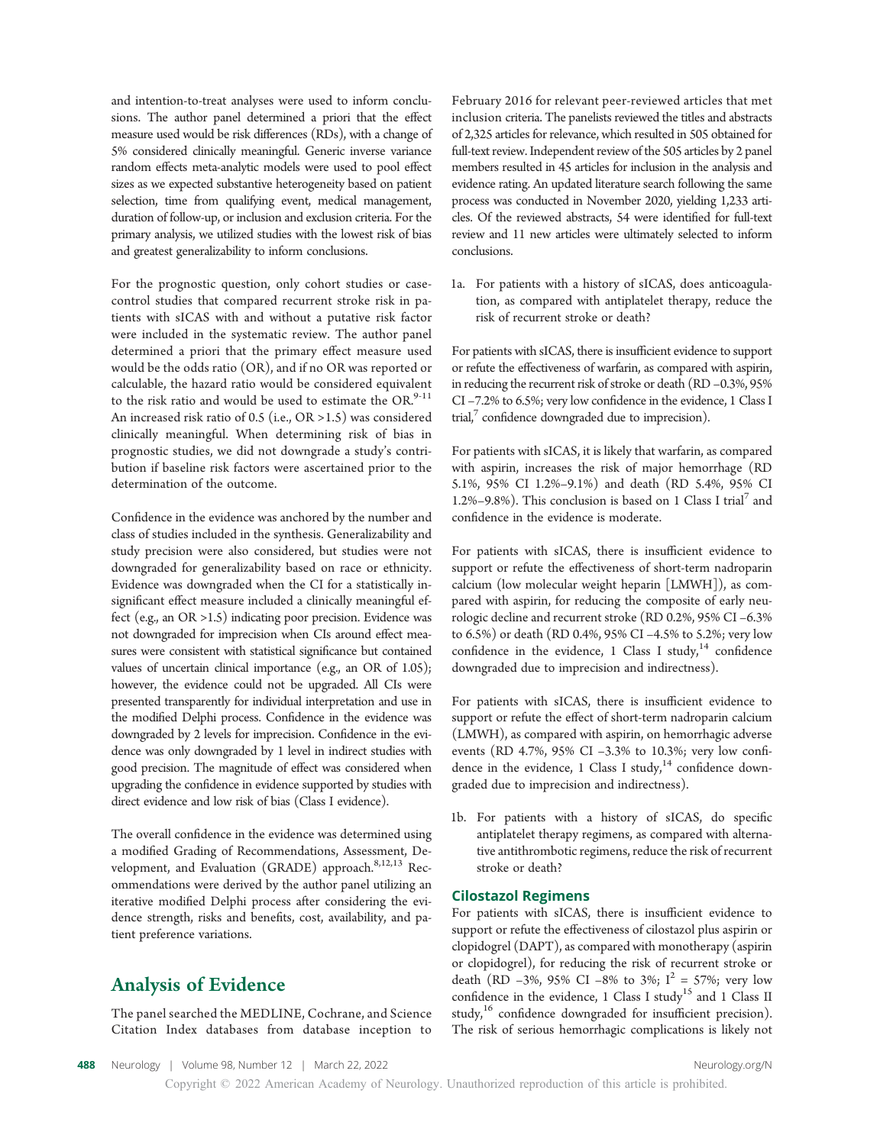and intention-to-treat analyses were used to inform conclusions. The author panel determined a priori that the effect measure used would be risk differences (RDs), with a change of 5% considered clinically meaningful. Generic inverse variance random effects meta-analytic models were used to pool effect sizes as we expected substantive heterogeneity based on patient selection, time from qualifying event, medical management, duration of follow-up, or inclusion and exclusion criteria. For the primary analysis, we utilized studies with the lowest risk of bias and greatest generalizability to inform conclusions.

For the prognostic question, only cohort studies or casecontrol studies that compared recurrent stroke risk in patients with sICAS with and without a putative risk factor were included in the systematic review. The author panel determined a priori that the primary effect measure used would be the odds ratio (OR), and if no OR was reported or calculable, the hazard ratio would be considered equivalent to the risk ratio and would be used to estimate the  $OR<sup>9-11</sup>$ An increased risk ratio of 0.5 (i.e., OR >1.5) was considered clinically meaningful. When determining risk of bias in prognostic studies, we did not downgrade a study's contribution if baseline risk factors were ascertained prior to the determination of the outcome.

Confidence in the evidence was anchored by the number and class of studies included in the synthesis. Generalizability and study precision were also considered, but studies were not downgraded for generalizability based on race or ethnicity. Evidence was downgraded when the CI for a statistically insignificant effect measure included a clinically meaningful effect (e.g., an OR >1.5) indicating poor precision. Evidence was not downgraded for imprecision when CIs around effect measures were consistent with statistical significance but contained values of uncertain clinical importance (e.g., an OR of 1.05); however, the evidence could not be upgraded. All CIs were presented transparently for individual interpretation and use in the modified Delphi process. Confidence in the evidence was downgraded by 2 levels for imprecision. Confidence in the evidence was only downgraded by 1 level in indirect studies with good precision. The magnitude of effect was considered when upgrading the confidence in evidence supported by studies with direct evidence and low risk of bias (Class I evidence).

The overall confidence in the evidence was determined using a modified Grading of Recommendations, Assessment, Development, and Evaluation (GRADE) approach.<sup>8,12,13</sup> Recommendations were derived by the author panel utilizing an iterative modified Delphi process after considering the evidence strength, risks and benefits, cost, availability, and patient preference variations.

# Analysis of Evidence

The panel searched the MEDLINE, Cochrane, and Science Citation Index databases from database inception to

February 2016 for relevant peer-reviewed articles that met inclusion criteria. The panelists reviewed the titles and abstracts of 2,325 articles for relevance, which resulted in 505 obtained for full-text review. Independent review of the 505 articles by 2 panel members resulted in 45 articles for inclusion in the analysis and evidence rating. An updated literature search following the same process was conducted in November 2020, yielding 1,233 articles. Of the reviewed abstracts, 54 were identified for full-text review and 11 new articles were ultimately selected to inform conclusions.

1a. For patients with a history of sICAS, does anticoagulation, as compared with antiplatelet therapy, reduce the risk of recurrent stroke or death?

For patients with sICAS, there is insufficient evidence to support or refute the effectiveness of warfarin, as compared with aspirin, in reducing the recurrent risk of stroke or death (RD –0.3%, 95% CI –7.2% to 6.5%; very low confidence in the evidence, 1 Class I trial, $\frac{7}{7}$  confidence downgraded due to imprecision).

For patients with sICAS, it is likely that warfarin, as compared with aspirin, increases the risk of major hemorrhage (RD 5.1%, 95% CI 1.2%–9.1%) and death (RD 5.4%, 95% CI 1.2%–9.8%). This conclusion is based on 1 Class I trial<sup>7</sup> and confidence in the evidence is moderate.

For patients with sICAS, there is insufficient evidence to support or refute the effectiveness of short-term nadroparin calcium (low molecular weight heparin [LMWH]), as compared with aspirin, for reducing the composite of early neurologic decline and recurrent stroke (RD 0.2%, 95% CI –6.3% to 6.5%) or death (RD 0.4%, 95% CI –4.5% to 5.2%; very low confidence in the evidence, 1 Class I study, $14$  confidence downgraded due to imprecision and indirectness).

For patients with sICAS, there is insufficient evidence to support or refute the effect of short-term nadroparin calcium (LMWH), as compared with aspirin, on hemorrhagic adverse events (RD 4.7%, 95% CI –3.3% to 10.3%; very low confidence in the evidence, 1 Class I study, $14$  confidence downgraded due to imprecision and indirectness).

1b. For patients with a history of sICAS, do specific antiplatelet therapy regimens, as compared with alternative antithrombotic regimens, reduce the risk of recurrent stroke or death?

## Cilostazol Regimens

For patients with sICAS, there is insufficient evidence to support or refute the effectiveness of cilostazol plus aspirin or clopidogrel (DAPT), as compared with monotherapy (aspirin or clopidogrel), for reducing the risk of recurrent stroke or death (RD –3%, 95% CI –8% to 3%;  $I^2 = 57\%$ ; very low confidence in the evidence, 1 Class I study<sup>15</sup> and 1 Class II study,<sup>16</sup> confidence downgraded for insufficient precision). The risk of serious hemorrhagic complications is likely not

488 Neurology | Volume 98, Number 12 | March 22, 2022 [Neurology.org/N](http://neurology.org/n)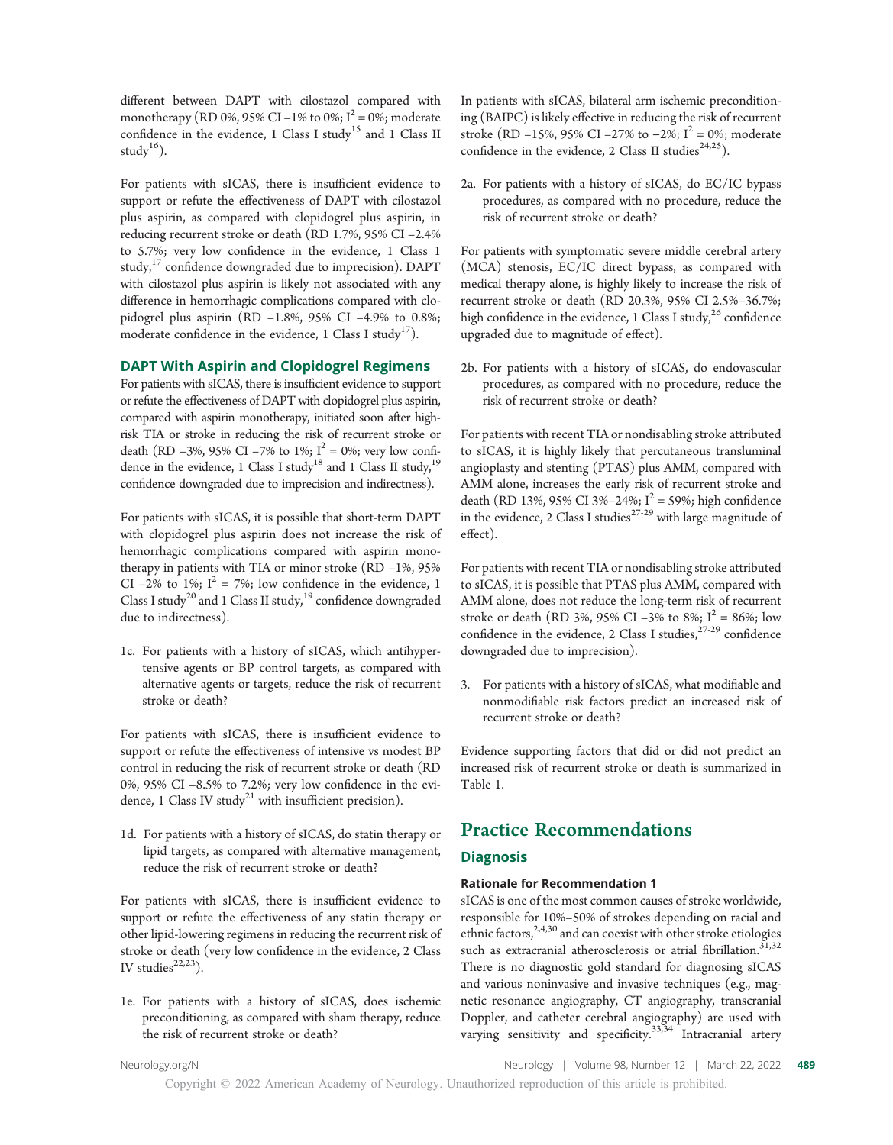different between DAPT with cilostazol compared with monotherapy (RD 0%, 95% CI –1% to 0%;  $I^2 = 0$ %; moderate confidence in the evidence, 1 Class I study<sup>15</sup> and 1 Class II study $^{16}$ ).

For patients with sICAS, there is insufficient evidence to support or refute the effectiveness of DAPT with cilostazol plus aspirin, as compared with clopidogrel plus aspirin, in reducing recurrent stroke or death (RD 1.7%, 95% CI –2.4% to 5.7%; very low confidence in the evidence, 1 Class 1 study, $17$  confidence downgraded due to imprecision). DAPT with cilostazol plus aspirin is likely not associated with any difference in hemorrhagic complications compared with clopidogrel plus aspirin (RD –1.8%, 95% CI –4.9% to 0.8%; moderate confidence in the evidence, 1 Class I study<sup>17</sup>).

## DAPT With Aspirin and Clopidogrel Regimens

For patients with sICAS, there is insufficient evidence to support or refute the effectiveness of DAPT with clopidogrel plus aspirin, compared with aspirin monotherapy, initiated soon after highrisk TIA or stroke in reducing the risk of recurrent stroke or death (RD –3%, 95% CI –7% to 1%;  $I^2 = 0$ %; very low confidence in the evidence, 1 Class I study<sup>18</sup> and 1 Class II study,<sup>19</sup> confidence downgraded due to imprecision and indirectness).

For patients with sICAS, it is possible that short-term DAPT with clopidogrel plus aspirin does not increase the risk of hemorrhagic complications compared with aspirin monotherapy in patients with TIA or minor stroke (RD –1%, 95% CI –2% to 1%;  $I^2 = 7\%$ ; low confidence in the evidence, 1 Class I study<sup>20</sup> and 1 Class II study,<sup>19</sup> confidence downgraded due to indirectness).

1c. For patients with a history of sICAS, which antihypertensive agents or BP control targets, as compared with alternative agents or targets, reduce the risk of recurrent stroke or death?

For patients with sICAS, there is insufficient evidence to support or refute the effectiveness of intensive vs modest BP control in reducing the risk of recurrent stroke or death (RD 0%, 95% CI –8.5% to 7.2%; very low confidence in the evidence, 1 Class IV study<sup>21</sup> with insufficient precision).

1d. For patients with a history of sICAS, do statin therapy or lipid targets, as compared with alternative management, reduce the risk of recurrent stroke or death?

For patients with sICAS, there is insufficient evidence to support or refute the effectiveness of any statin therapy or other lipid-lowering regimens in reducing the recurrent risk of stroke or death (very low confidence in the evidence, 2 Class IV studies $22,23$ ).

1e. For patients with a history of sICAS, does ischemic preconditioning, as compared with sham therapy, reduce the risk of recurrent stroke or death?

In patients with sICAS, bilateral arm ischemic preconditioning (BAIPC) is likely effective in reducing the risk of recurrent stroke (RD –15%, 95% CI –27% to –2%; I<sup>2</sup> = 0%; moderate confidence in the evidence, 2 Class II studies<sup>24,25</sup>).

2a. For patients with a history of sICAS, do EC/IC bypass procedures, as compared with no procedure, reduce the risk of recurrent stroke or death?

For patients with symptomatic severe middle cerebral artery (MCA) stenosis, EC/IC direct bypass, as compared with medical therapy alone, is highly likely to increase the risk of recurrent stroke or death (RD 20.3%, 95% CI 2.5%–36.7%; high confidence in the evidence, 1 Class I study,  $26$  confidence upgraded due to magnitude of effect).

2b. For patients with a history of sICAS, do endovascular procedures, as compared with no procedure, reduce the risk of recurrent stroke or death?

For patients with recent TIA or nondisabling stroke attributed to sICAS, it is highly likely that percutaneous transluminal angioplasty and stenting (PTAS) plus AMM, compared with AMM alone, increases the early risk of recurrent stroke and death (RD 13%, 95% CI 3%–24%;  $I^2 = 59%$ ; high confidence in the evidence, 2 Class I studies<sup>27-29</sup> with large magnitude of effect).

For patients with recent TIA or nondisabling stroke attributed to sICAS, it is possible that PTAS plus AMM, compared with AMM alone, does not reduce the long-term risk of recurrent stroke or death (RD 3%, 95% CI –3% to 8%;  $I^2 = 86\%$ ; low confidence in the evidence, 2 Class I studies,  $27-29$  confidence downgraded due to imprecision).

3. For patients with a history of sICAS, what modifiable and nonmodifiable risk factors predict an increased risk of recurrent stroke or death?

Evidence supporting factors that did or did not predict an increased risk of recurrent stroke or death is summarized in Table 1.

# Practice Recommendations

## **Diagnosis**

## Rationale for Recommendation 1

sICAS is one of the most common causes of stroke worldwide, responsible for 10%–50% of strokes depending on racial and ethnic factors, $2,4,30$  and can coexist with other stroke etiologies such as extracranial atherosclerosis or atrial fibrillation.<sup>31,32</sup> There is no diagnostic gold standard for diagnosing sICAS and various noninvasive and invasive techniques (e.g., magnetic resonance angiography, CT angiography, transcranial Doppler, and catheter cerebral angiography) are used with varying sensitivity and specificity.<sup>33,34</sup> Intracranial artery

[Neurology.org/N](http://neurology.org/n) Neurology | Volume 98, Number 12 | March 22, 2022 489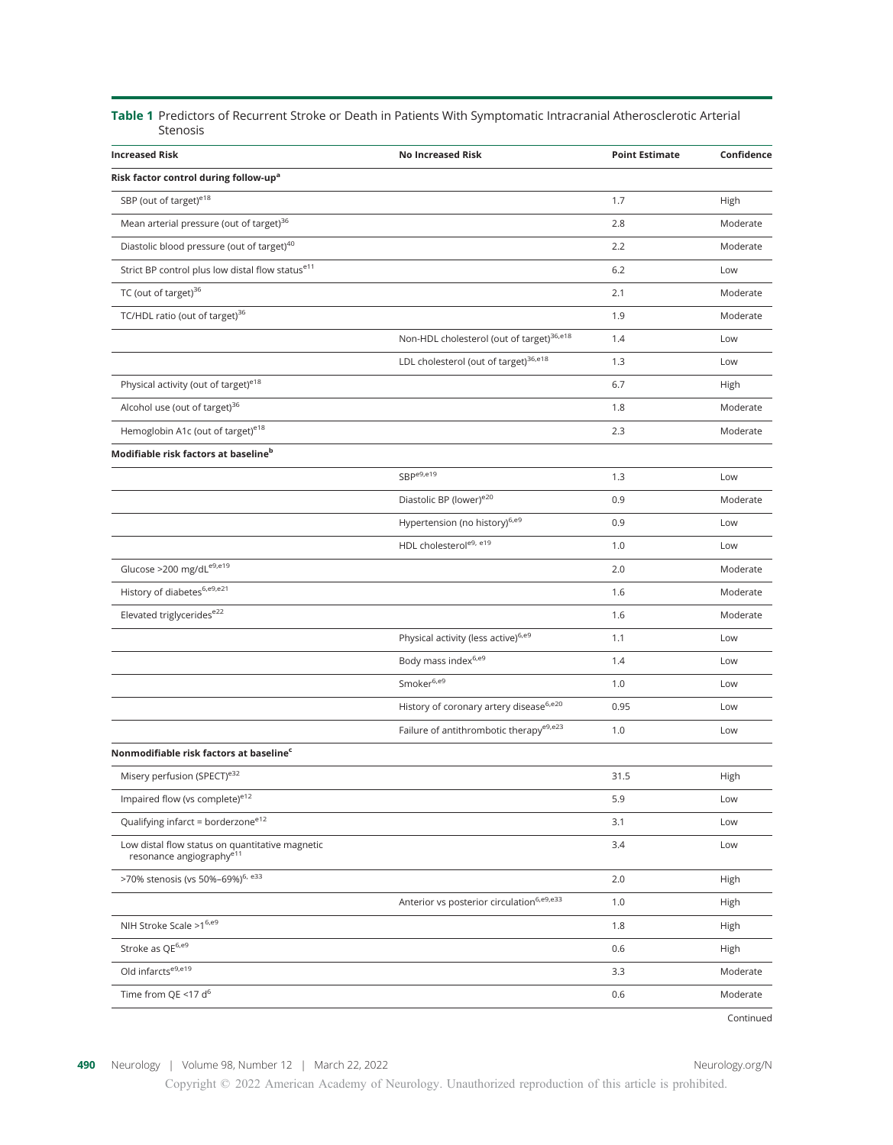## Table 1 Predictors of Recurrent Stroke or Death in Patients With Symptomatic Intracranial Atherosclerotic Arterial Stenosis

| <b>Increased Risk</b>                                                                   | <b>No Increased Risk</b>                              | <b>Point Estimate</b> | Confidence |
|-----------------------------------------------------------------------------------------|-------------------------------------------------------|-----------------------|------------|
| Risk factor control during follow-up <sup>a</sup>                                       |                                                       |                       |            |
| SBP (out of target) <sup>e18</sup>                                                      |                                                       | 1.7                   | High       |
| Mean arterial pressure (out of target) <sup>36</sup>                                    |                                                       | 2.8                   | Moderate   |
| Diastolic blood pressure (out of target) <sup>40</sup>                                  |                                                       | 2.2                   | Moderate   |
| Strict BP control plus low distal flow statuse11                                        |                                                       | 6.2                   | Low        |
| TC (out of target) <sup>36</sup>                                                        |                                                       | 2.1                   | Moderate   |
| TC/HDL ratio (out of target) <sup>36</sup>                                              |                                                       | 1.9                   | Moderate   |
|                                                                                         | Non-HDL cholesterol (out of target) <sup>36,e18</sup> | 1.4                   | Low        |
|                                                                                         | LDL cholesterol (out of target) <sup>36,e18</sup>     | 1.3                   | Low        |
| Physical activity (out of target) <sup>e18</sup>                                        |                                                       | 6.7                   | High       |
| Alcohol use (out of target) <sup>36</sup>                                               |                                                       | 1.8                   | Moderate   |
| Hemoglobin A1c (out of target) <sup>e18</sup>                                           |                                                       | 2.3                   | Moderate   |
| Modifiable risk factors at baseline <sup>b</sup>                                        |                                                       |                       |            |
|                                                                                         | SBP <sup>e9,e19</sup>                                 | 1.3                   | Low        |
|                                                                                         | Diastolic BP (lower) <sup>e20</sup>                   | 0.9                   | Moderate   |
|                                                                                         | Hypertension (no history) <sup>6,e9</sup>             | 0.9                   | Low        |
|                                                                                         | HDL cholesterole9, e19                                | 1.0                   | Low        |
| Glucose >200 mg/dLe9,e19                                                                |                                                       | 2.0                   | Moderate   |
| History of diabetes <sup>6,e9,e21</sup>                                                 |                                                       | 1.6                   | Moderate   |
| Elevated triglyceridese22                                                               |                                                       | 1.6                   | Moderate   |
|                                                                                         | Physical activity (less active) <sup>6,e9</sup>       | 1.1                   | Low        |
|                                                                                         | Body mass index6,e9                                   | 1.4                   | Low        |
|                                                                                         | Smoker $6,69$                                         | 1.0                   | Low        |
|                                                                                         | History of coronary artery disease <sup>6,e20</sup>   | 0.95                  | Low        |
|                                                                                         | Failure of antithrombotic therapy <sup>e9,e23</sup>   | 1.0                   | Low        |
| Nonmodifiable risk factors at baseline <sup>c</sup>                                     |                                                       |                       |            |
| Misery perfusion (SPECT) <sup>e32</sup>                                                 |                                                       | 31.5                  | High       |
| Impaired flow (vs complete) <sup>e12</sup>                                              |                                                       | 5.9                   | Low        |
| Qualifying infarct = borderzone <sup>e12</sup>                                          |                                                       | 3.1                   | Low        |
| Low distal flow status on quantitative magnetic<br>resonance angiography <sup>e11</sup> |                                                       | 3.4                   | Low        |
| >70% stenosis (vs 50%-69%) <sup>6, e33</sup>                                            |                                                       | 2.0                   | High       |
|                                                                                         | Anterior vs posterior circulation <sup>6,e9,e33</sup> | 1.0                   | High       |
| NIH Stroke Scale $>1^{6,\mathrm{e9}}$                                                   |                                                       | 1.8                   | High       |
| Stroke as $\mathsf{QE}^{6,\mathsf{e9}}$                                                 |                                                       | 0.6                   | High       |
| Old infarcts <sup>e9,e19</sup>                                                          |                                                       | 3.3                   | Moderate   |
| Time from QE <17 d <sup>6</sup>                                                         |                                                       | 0.6                   | Moderate   |
|                                                                                         |                                                       |                       | Continued  |

490 Neurology | Volume 98, Number 12 | March 22, 2022 [Neurology.org/N](http://neurology.org/n)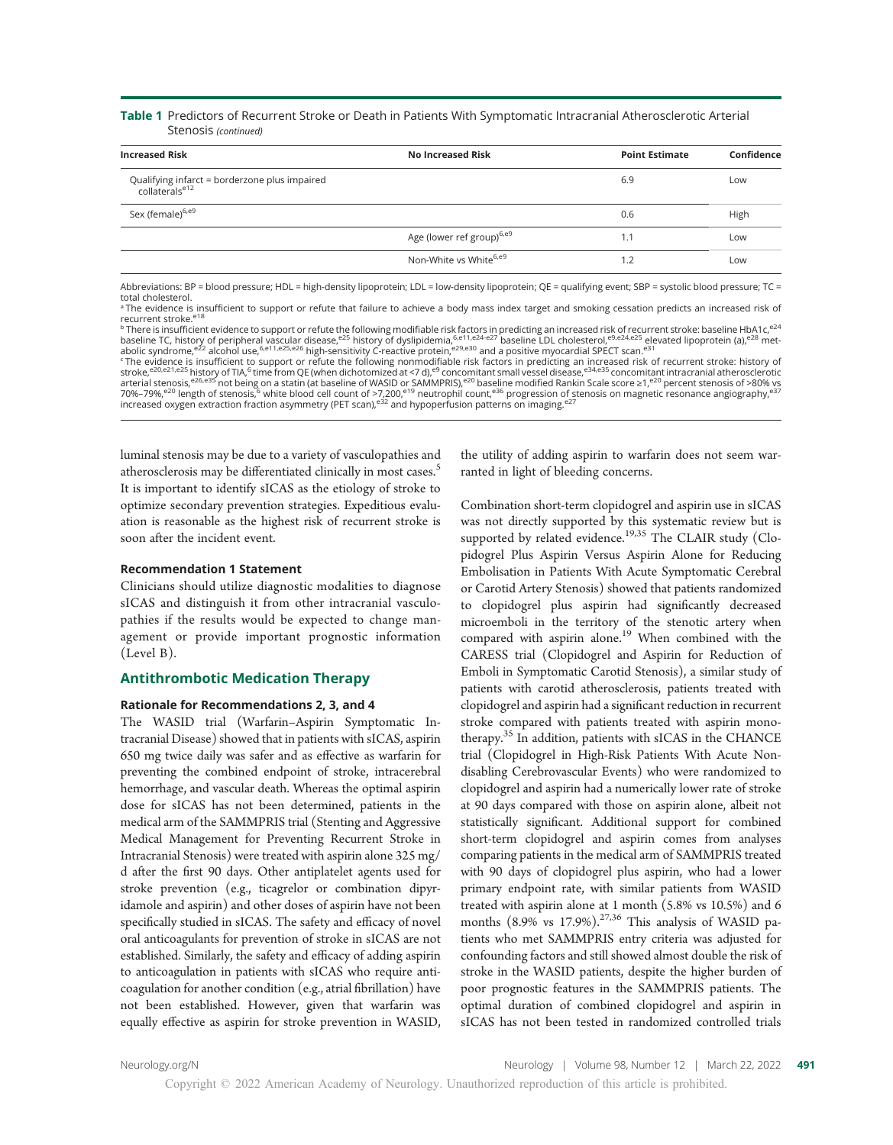## Table 1 Predictors of Recurrent Stroke or Death in Patients With Symptomatic Intracranial Atherosclerotic Arterial Stenosis (continued)

| <b>Increased Risk</b>                                                       | No Increased Risk                     | <b>Point Estimate</b> | Confidence |
|-----------------------------------------------------------------------------|---------------------------------------|-----------------------|------------|
| Qualifying infarct = borderzone plus impaired<br>collaterals <sup>e12</sup> |                                       | 6.9                   | Low        |
| Sex (female) <sup>6,e9</sup>                                                |                                       | 0.6                   | High       |
|                                                                             | Age (lower ref group) <sup>6,e9</sup> | 1.1                   | Low        |
|                                                                             | Non-White vs White <sup>6,e9</sup>    | 1.2                   | Low        |
|                                                                             |                                       |                       |            |

Abbreviations: BP = blood pressure; HDL = high-density lipoprotein; LDL = low-density lipoprotein; QE = qualifying event; SBP = systolic blood pressure; TC = total cholesterol.

<sup>a</sup> The evidence is insufficient to support or refute that failure to achieve a body mass index target and smoking cessation predicts an increased risk of recurrent stroke.<sup>e18</sup>

<sup>b</sup> There is insufficient evidence to support or refute the following modifiable risk factors in predicting an increased risk of recurrent stroke: baseline HbA1c,<sup>e24</sup><br>baseline TC, history of peripheral vascular disease,<sup>e</sup>

<sup>c</sup>The evidence is insufficient to support or refute the following nonmodifiable risk factors in predicting an increased risk of recurrent stroke: history of<br>arterial stepsed:<sup>e20,e21,e25</sup> history of TIA,<sup>6</sup> time from QE

luminal stenosis may be due to a variety of vasculopathies and atherosclerosis may be differentiated clinically in most cases.<sup>5</sup> It is important to identify sICAS as the etiology of stroke to optimize secondary prevention strategies. Expeditious evaluation is reasonable as the highest risk of recurrent stroke is soon after the incident event.

## Recommendation 1 Statement

Clinicians should utilize diagnostic modalities to diagnose sICAS and distinguish it from other intracranial vasculopathies if the results would be expected to change management or provide important prognostic information (Level B).

## Antithrombotic Medication Therapy

## Rationale for Recommendations 2, 3, and 4

The WASID trial (Warfarin–Aspirin Symptomatic Intracranial Disease) showed that in patients with sICAS, aspirin 650 mg twice daily was safer and as effective as warfarin for preventing the combined endpoint of stroke, intracerebral hemorrhage, and vascular death. Whereas the optimal aspirin dose for sICAS has not been determined, patients in the medical arm of the SAMMPRIS trial (Stenting and Aggressive Medical Management for Preventing Recurrent Stroke in Intracranial Stenosis) were treated with aspirin alone 325 mg/ d after the first 90 days. Other antiplatelet agents used for stroke prevention (e.g., ticagrelor or combination dipyridamole and aspirin) and other doses of aspirin have not been specifically studied in sICAS. The safety and efficacy of novel oral anticoagulants for prevention of stroke in sICAS are not established. Similarly, the safety and efficacy of adding aspirin to anticoagulation in patients with sICAS who require anticoagulation for another condition (e.g., atrial fibrillation) have not been established. However, given that warfarin was equally effective as aspirin for stroke prevention in WASID,

the utility of adding aspirin to warfarin does not seem warranted in light of bleeding concerns.

Combination short-term clopidogrel and aspirin use in sICAS was not directly supported by this systematic review but is supported by related evidence.<sup>19,35</sup> The CLAIR study (Clopidogrel Plus Aspirin Versus Aspirin Alone for Reducing Embolisation in Patients With Acute Symptomatic Cerebral or Carotid Artery Stenosis) showed that patients randomized to clopidogrel plus aspirin had significantly decreased microemboli in the territory of the stenotic artery when compared with aspirin alone.<sup>19</sup> When combined with the CARESS trial (Clopidogrel and Aspirin for Reduction of Emboli in Symptomatic Carotid Stenosis), a similar study of patients with carotid atherosclerosis, patients treated with clopidogrel and aspirin had a significant reduction in recurrent stroke compared with patients treated with aspirin monotherapy.<sup>35</sup> In addition, patients with sICAS in the CHANCE trial (Clopidogrel in High-Risk Patients With Acute Nondisabling Cerebrovascular Events) who were randomized to clopidogrel and aspirin had a numerically lower rate of stroke at 90 days compared with those on aspirin alone, albeit not statistically significant. Additional support for combined short-term clopidogrel and aspirin comes from analyses comparing patients in the medical arm of SAMMPRIS treated with 90 days of clopidogrel plus aspirin, who had a lower primary endpoint rate, with similar patients from WASID treated with aspirin alone at 1 month (5.8% vs 10.5%) and 6 months  $(8.9\% \text{ vs } 17.9\%).^{27,36}$  This analysis of WASID patients who met SAMMPRIS entry criteria was adjusted for confounding factors and still showed almost double the risk of stroke in the WASID patients, despite the higher burden of poor prognostic features in the SAMMPRIS patients. The optimal duration of combined clopidogrel and aspirin in sICAS has not been tested in randomized controlled trials

[Neurology.org/N](http://neurology.org/n) Neurology | Volume 98, Number 12 | March 22, 2022 491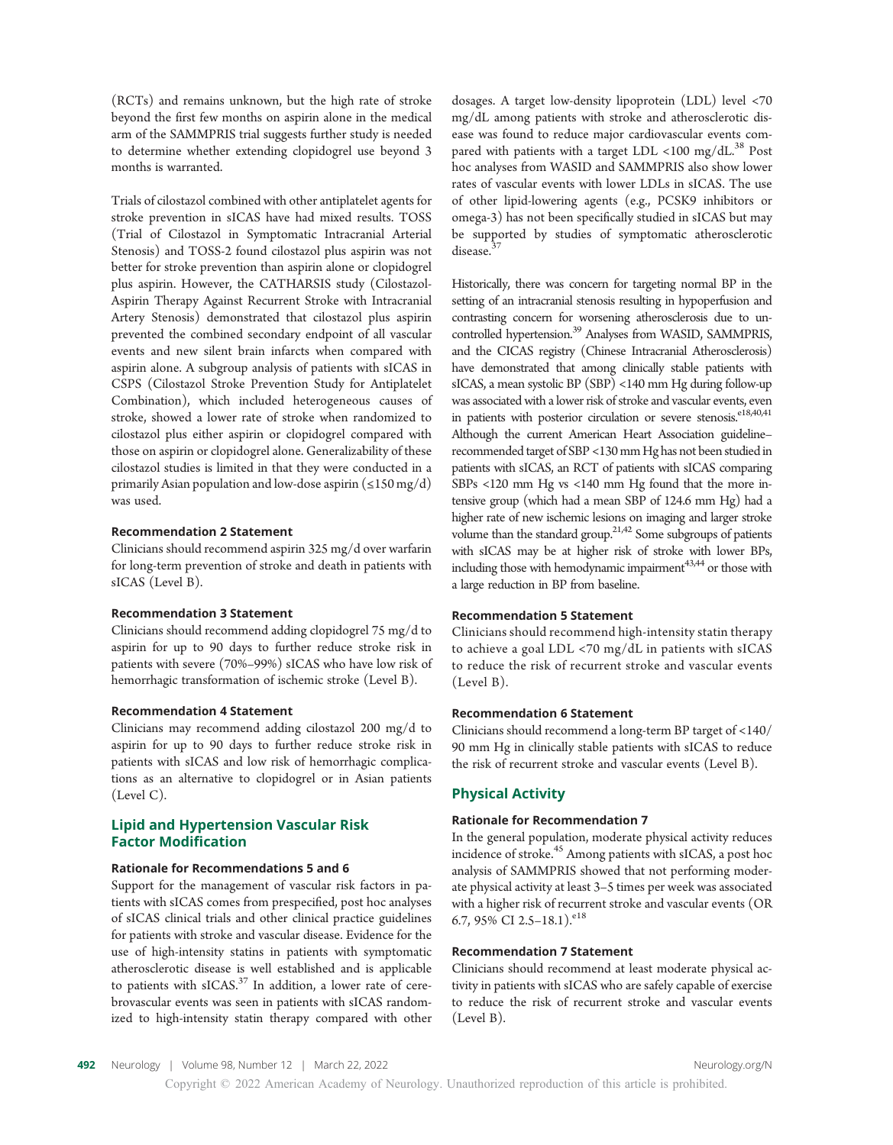(RCTs) and remains unknown, but the high rate of stroke beyond the first few months on aspirin alone in the medical arm of the SAMMPRIS trial suggests further study is needed to determine whether extending clopidogrel use beyond 3 months is warranted.

Trials of cilostazol combined with other antiplatelet agents for stroke prevention in sICAS have had mixed results. TOSS (Trial of Cilostazol in Symptomatic Intracranial Arterial Stenosis) and TOSS-2 found cilostazol plus aspirin was not better for stroke prevention than aspirin alone or clopidogrel plus aspirin. However, the CATHARSIS study (Cilostazol-Aspirin Therapy Against Recurrent Stroke with Intracranial Artery Stenosis) demonstrated that cilostazol plus aspirin prevented the combined secondary endpoint of all vascular events and new silent brain infarcts when compared with aspirin alone. A subgroup analysis of patients with sICAS in CSPS (Cilostazol Stroke Prevention Study for Antiplatelet Combination), which included heterogeneous causes of stroke, showed a lower rate of stroke when randomized to cilostazol plus either aspirin or clopidogrel compared with those on aspirin or clopidogrel alone. Generalizability of these cilostazol studies is limited in that they were conducted in a primarily Asian population and low-dose aspirin ( $\leq$ 150 mg/d) was used.

## Recommendation 2 Statement

Clinicians should recommend aspirin 325 mg/d over warfarin for long-term prevention of stroke and death in patients with sICAS (Level B).

#### Recommendation 3 Statement

Clinicians should recommend adding clopidogrel 75 mg/d to aspirin for up to 90 days to further reduce stroke risk in patients with severe (70%–99%) sICAS who have low risk of hemorrhagic transformation of ischemic stroke (Level B).

#### Recommendation 4 Statement

Clinicians may recommend adding cilostazol 200 mg/d to aspirin for up to 90 days to further reduce stroke risk in patients with sICAS and low risk of hemorrhagic complications as an alternative to clopidogrel or in Asian patients (Level C).

## Lipid and Hypertension Vascular Risk Factor Modification

#### Rationale for Recommendations 5 and 6

Support for the management of vascular risk factors in patients with sICAS comes from prespecified, post hoc analyses of sICAS clinical trials and other clinical practice guidelines for patients with stroke and vascular disease. Evidence for the use of high-intensity statins in patients with symptomatic atherosclerotic disease is well established and is applicable to patients with sICAS.<sup>37</sup> In addition, a lower rate of cerebrovascular events was seen in patients with sICAS randomized to high-intensity statin therapy compared with other

dosages. A target low-density lipoprotein (LDL) level <70 mg/dL among patients with stroke and atherosclerotic disease was found to reduce major cardiovascular events compared with patients with a target LDL <100 mg/dL. $^{38}$  Post hoc analyses from WASID and SAMMPRIS also show lower rates of vascular events with lower LDLs in sICAS. The use of other lipid-lowering agents (e.g., PCSK9 inhibitors or omega-3) has not been specifically studied in sICAS but may be supported by studies of symptomatic atherosclerotic disease.<sup>3</sup>

Historically, there was concern for targeting normal BP in the setting of an intracranial stenosis resulting in hypoperfusion and contrasting concern for worsening atherosclerosis due to uncontrolled hypertension.<sup>39</sup> Analyses from WASID, SAMMPRIS, and the CICAS registry (Chinese Intracranial Atherosclerosis) have demonstrated that among clinically stable patients with sICAS, a mean systolic BP (SBP) <140 mm Hg during follow-up was associated with a lower risk of stroke and vascular events, even in patients with posterior circulation or severe stenosis.<sup>e18,40,41</sup> Although the current American Heart Association guideline– recommended target of SBP <130 mm Hg has not been studied in patients with sICAS, an RCT of patients with sICAS comparing SBPs <120 mm Hg vs <140 mm Hg found that the more intensive group (which had a mean SBP of 124.6 mm Hg) had a higher rate of new ischemic lesions on imaging and larger stroke volume than the standard group. $2^{1,42}$  Some subgroups of patients with sICAS may be at higher risk of stroke with lower BPs, including those with hemodynamic impairment<sup>43,44</sup> or those with a large reduction in BP from baseline.

## Recommendation 5 Statement

Clinicians should recommend high-intensity statin therapy to achieve a goal LDL <70 mg/dL in patients with sICAS to reduce the risk of recurrent stroke and vascular events (Level B).

## Recommendation 6 Statement

Clinicians should recommend a long-term BP target of <140/ 90 mm Hg in clinically stable patients with sICAS to reduce the risk of recurrent stroke and vascular events (Level B).

## Physical Activity

### Rationale for Recommendation 7

In the general population, moderate physical activity reduces incidence of stroke.<sup>45</sup> Among patients with sICAS, a post hoc analysis of SAMMPRIS showed that not performing moderate physical activity at least 3–5 times per week was associated with a higher risk of recurrent stroke and vascular events (OR 6.7, 95% CI 2.5-18.1).<sup>e18</sup>

## Recommendation 7 Statement

Clinicians should recommend at least moderate physical activity in patients with sICAS who are safely capable of exercise to reduce the risk of recurrent stroke and vascular events (Level B).

492 Neurology | Volume 98, Number 12 | March 22, 2022 [Neurology.org/N](http://neurology.org/n)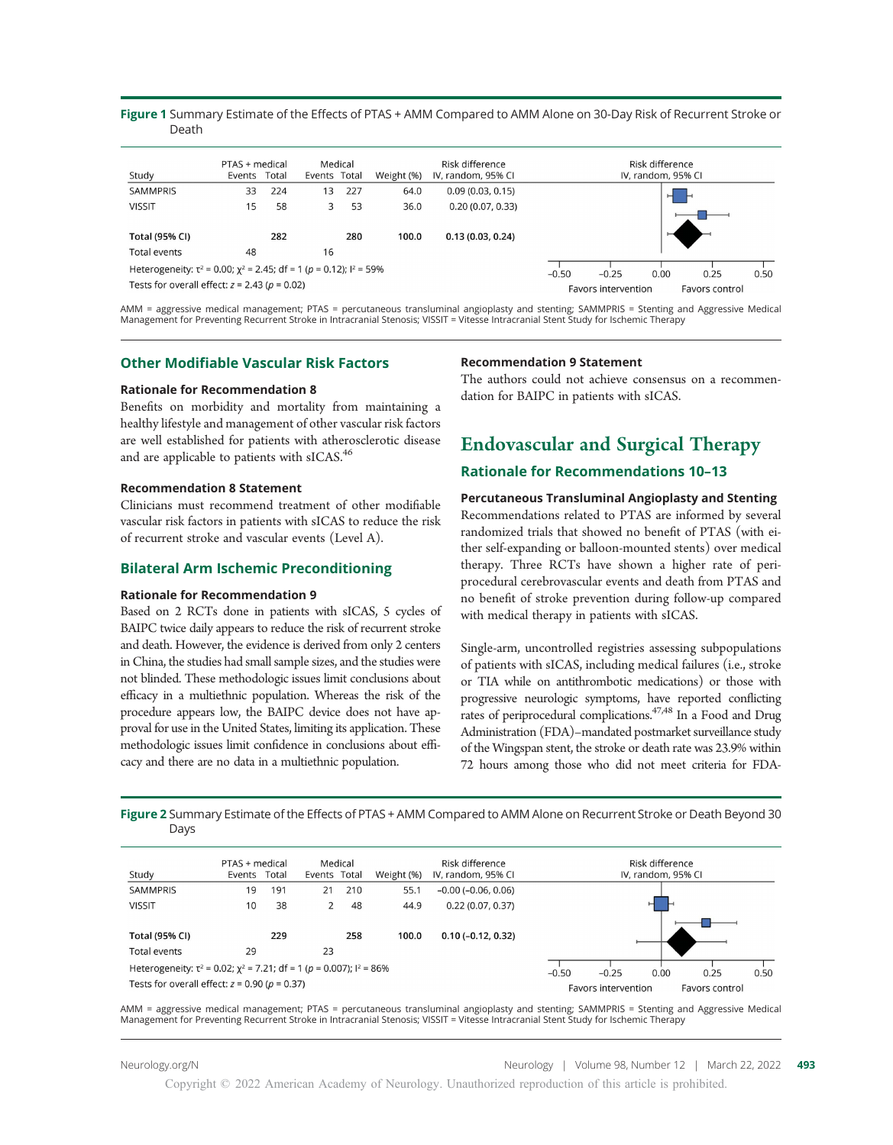## Figure 1 Summary Estimate of the Effects of PTAS + AMM Compared to AMM Alone on 30-Day Risk of Recurrent Stroke or Death

| Study                                                                           | PTAS + medical<br>Events Total |     | Events Total | Medical | Weight (%) | Risk difference<br>IV, random, 95% CI |         |                     | Risk difference<br>IV, random, 95% CI |                |      |
|---------------------------------------------------------------------------------|--------------------------------|-----|--------------|---------|------------|---------------------------------------|---------|---------------------|---------------------------------------|----------------|------|
| <b>SAMMPRIS</b>                                                                 | 33                             | 224 | 13           | 227     | 64.0       | 0.09(0.03, 0.15)                      |         |                     | н                                     |                |      |
| <b>VISSIT</b>                                                                   | 15                             | 58  | 3            | 53      | 36.0       | 0.20(0.07, 0.33)                      |         |                     |                                       |                |      |
|                                                                                 |                                |     |              |         |            |                                       |         |                     |                                       |                |      |
| <b>Total (95% CI)</b>                                                           |                                | 282 |              | 280     | 100.0      | 0.13(0.03, 0.24)                      |         |                     |                                       |                |      |
| Total events                                                                    | 48                             |     | 16           |         |            |                                       |         |                     |                                       |                |      |
| Heterogeneity: $\tau^2$ = 0.00; $\chi^2$ = 2.45; df = 1 (p = 0.12); $l^2$ = 59% |                                |     |              |         |            |                                       | $-0.50$ | $-0.25$             | 0.00                                  | 0.25           | 0.50 |
| Tests for overall effect: $z = 2.43$ ( $p = 0.02$ )                             |                                |     |              |         |            |                                       |         | Favors intervention |                                       | Favors control |      |

AMM = aggressive medical management; PTAS = percutaneous transluminal angioplasty and stenting; SAMMPRIS = Stenting and Aggressive Medical Management for Preventing Recurrent Stroke in Intracranial Stenosis; VISSIT = Vitesse Intracranial Stent Study for Ischemic Therapy

## Other Modifiable Vascular Risk Factors

### Rationale for Recommendation 8

Benefits on morbidity and mortality from maintaining a healthy lifestyle and management of other vascular risk factors are well established for patients with atherosclerotic disease and are applicable to patients with sICAS.<sup>46</sup>

### Recommendation 8 Statement

Clinicians must recommend treatment of other modifiable vascular risk factors in patients with sICAS to reduce the risk of recurrent stroke and vascular events (Level A).

## Bilateral Arm Ischemic Preconditioning

#### Rationale for Recommendation 9

Based on 2 RCTs done in patients with sICAS, 5 cycles of BAIPC twice daily appears to reduce the risk of recurrent stroke and death. However, the evidence is derived from only 2 centers in China, the studies had small sample sizes, and the studies were not blinded. These methodologic issues limit conclusions about efficacy in a multiethnic population. Whereas the risk of the procedure appears low, the BAIPC device does not have approval for use in the United States, limiting its application. These methodologic issues limit confidence in conclusions about efficacy and there are no data in a multiethnic population.

### Recommendation 9 Statement

The authors could not achieve consensus on a recommendation for BAIPC in patients with sICAS.

# Endovascular and Surgical Therapy

## Rationale for Recommendations 10–13

## Percutaneous Transluminal Angioplasty and Stenting

Recommendations related to PTAS are informed by several randomized trials that showed no benefit of PTAS (with either self-expanding or balloon-mounted stents) over medical therapy. Three RCTs have shown a higher rate of periprocedural cerebrovascular events and death from PTAS and no benefit of stroke prevention during follow-up compared with medical therapy in patients with sICAS.

Single-arm, uncontrolled registries assessing subpopulations of patients with sICAS, including medical failures (i.e., stroke or TIA while on antithrombotic medications) or those with progressive neurologic symptoms, have reported conflicting rates of periprocedural complications.<sup>47,48</sup> In a Food and Drug Administration (FDA)–mandated postmarket surveillance study of the Wingspan stent, the stroke or death rate was 23.9% within 72 hours among those who did not meet criteria for FDA-

Figure 2 Summary Estimate of the Effects of PTAS + AMM Compared to AMM Alone on Recurrent Stroke or Death Beyond 30 Days

| Study                                                                            | PTAS + medical<br>Events | Total | Events Total | Medical | Weight (%) | Risk difference<br>IV, random, 95% CI |         |                     | Risk difference<br>IV, random, 95% CI |                |      |
|----------------------------------------------------------------------------------|--------------------------|-------|--------------|---------|------------|---------------------------------------|---------|---------------------|---------------------------------------|----------------|------|
| <b>SAMMPRIS</b>                                                                  | 19                       | 191   | 21           | 210     | 55.1       | $-0.00$ ( $-0.06$ , 0.06)             |         |                     |                                       |                |      |
| <b>VISSIT</b>                                                                    | 10                       | 38    |              | 48      | 44.9       | 0.22(0.07, 0.37)                      |         |                     | н                                     |                |      |
| <b>Total (95% CI)</b>                                                            |                          | 229   |              | 258     | 100.0      | $0.10(-0.12, 0.32)$                   |         |                     |                                       |                |      |
| Total events                                                                     | 29                       |       | 23           |         |            |                                       |         |                     |                                       |                |      |
| Heterogeneity: $\tau^2$ = 0.02; $\chi^2$ = 7.21; df = 1 (p = 0.007); $I^2$ = 86% |                          |       |              |         |            |                                       | $-0.50$ | $-0.25$             | 0.00                                  | 0.25           | 0.50 |
| Tests for overall effect: $z = 0.90$ ( $p = 0.37$ )                              |                          |       |              |         |            |                                       |         | Favors intervention |                                       | Favors control |      |

AMM = aggressive medical management; PTAS = percutaneous transluminal angioplasty and stenting; SAMMPRIS = Stenting and Aggressive Medical Management for Preventing Recurrent Stroke in Intracranial Stenosis; VISSIT = Vitesse Intracranial Stent Study for Ischemic Therapy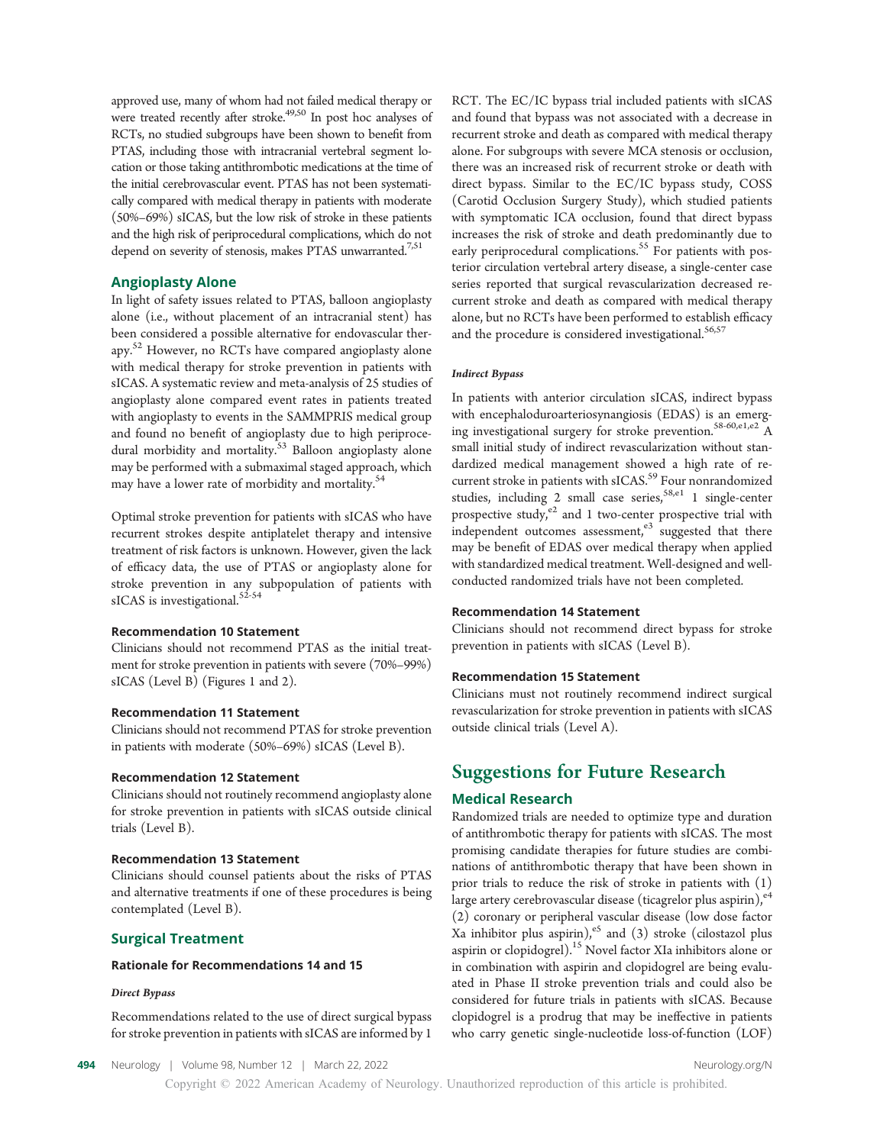approved use, many of whom had not failed medical therapy or were treated recently after stroke.<sup>49,50</sup> In post hoc analyses of RCTs, no studied subgroups have been shown to benefit from PTAS, including those with intracranial vertebral segment location or those taking antithrombotic medications at the time of the initial cerebrovascular event. PTAS has not been systematically compared with medical therapy in patients with moderate (50%–69%) sICAS, but the low risk of stroke in these patients and the high risk of periprocedural complications, which do not depend on severity of stenosis, makes PTAS unwarranted.<sup>7,51</sup>

## Angioplasty Alone

In light of safety issues related to PTAS, balloon angioplasty alone (i.e., without placement of an intracranial stent) has been considered a possible alternative for endovascular therapy.<sup>52</sup> However, no RCTs have compared angioplasty alone with medical therapy for stroke prevention in patients with sICAS. A systematic review and meta-analysis of 25 studies of angioplasty alone compared event rates in patients treated with angioplasty to events in the SAMMPRIS medical group and found no benefit of angioplasty due to high periprocedural morbidity and mortality.<sup>53</sup> Balloon angioplasty alone may be performed with a submaximal staged approach, which may have a lower rate of morbidity and mortality.<sup>54</sup>

Optimal stroke prevention for patients with sICAS who have recurrent strokes despite antiplatelet therapy and intensive treatment of risk factors is unknown. However, given the lack of efficacy data, the use of PTAS or angioplasty alone for stroke prevention in any subpopulation of patients with sICAS is investigational.<sup>52-54</sup>

## Recommendation 10 Statement

Clinicians should not recommend PTAS as the initial treatment for stroke prevention in patients with severe (70%–99%) sICAS (Level B) (Figures 1 and 2).

## Recommendation 11 Statement

Clinicians should not recommend PTAS for stroke prevention in patients with moderate (50%–69%) sICAS (Level B).

#### Recommendation 12 Statement

Clinicians should not routinely recommend angioplasty alone for stroke prevention in patients with sICAS outside clinical trials (Level B).

#### Recommendation 13 Statement

Clinicians should counsel patients about the risks of PTAS and alternative treatments if one of these procedures is being contemplated (Level B).

## Surgical Treatment

## Rationale for Recommendations 14 and 15

#### Direct Bypass

Recommendations related to the use of direct surgical bypass for stroke prevention in patients with sICAS are informed by 1

RCT. The EC/IC bypass trial included patients with sICAS and found that bypass was not associated with a decrease in recurrent stroke and death as compared with medical therapy alone. For subgroups with severe MCA stenosis or occlusion, there was an increased risk of recurrent stroke or death with direct bypass. Similar to the EC/IC bypass study, COSS (Carotid Occlusion Surgery Study), which studied patients with symptomatic ICA occlusion, found that direct bypass increases the risk of stroke and death predominantly due to early periprocedural complications.<sup>55</sup> For patients with posterior circulation vertebral artery disease, a single-center case series reported that surgical revascularization decreased recurrent stroke and death as compared with medical therapy alone, but no RCTs have been performed to establish efficacy and the procedure is considered investigational.<sup>56,57</sup>

#### Indirect Bypass

In patients with anterior circulation sICAS, indirect bypass with encephaloduroarteriosynangiosis (EDAS) is an emerging investigational surgery for stroke prevention.<sup>58-60,e1,e2</sup> A small initial study of indirect revascularization without standardized medical management showed a high rate of recurrent stroke in patients with sICAS.<sup>59</sup> Four nonrandomized studies, including 2 small case series,  ${}^{58, e1}$  1 single-center prospective study,<sup>e2</sup> and 1 two-center prospective trial with independent outcomes assessment, $e<sup>3</sup>$  suggested that there may be benefit of EDAS over medical therapy when applied with standardized medical treatment. Well-designed and wellconducted randomized trials have not been completed.

#### Recommendation 14 Statement

Clinicians should not recommend direct bypass for stroke prevention in patients with sICAS (Level B).

#### Recommendation 15 Statement

Clinicians must not routinely recommend indirect surgical revascularization for stroke prevention in patients with sICAS outside clinical trials (Level A).

## Suggestions for Future Research

## Medical Research

Randomized trials are needed to optimize type and duration of antithrombotic therapy for patients with sICAS. The most promising candidate therapies for future studies are combinations of antithrombotic therapy that have been shown in prior trials to reduce the risk of stroke in patients with (1) large artery cerebrovascular disease (ticagrelor plus aspirin), e<sup>4</sup>

(2) coronary or peripheral vascular disease (low dose factor Xa inhibitor plus aspirin), $e^5$  and (3) stroke (cilostazol plus aspirin or clopidogrel).<sup>15</sup> Novel factor XIa inhibitors alone or in combination with aspirin and clopidogrel are being evaluated in Phase II stroke prevention trials and could also be considered for future trials in patients with sICAS. Because clopidogrel is a prodrug that may be ineffective in patients who carry genetic single-nucleotide loss-of-function (LOF)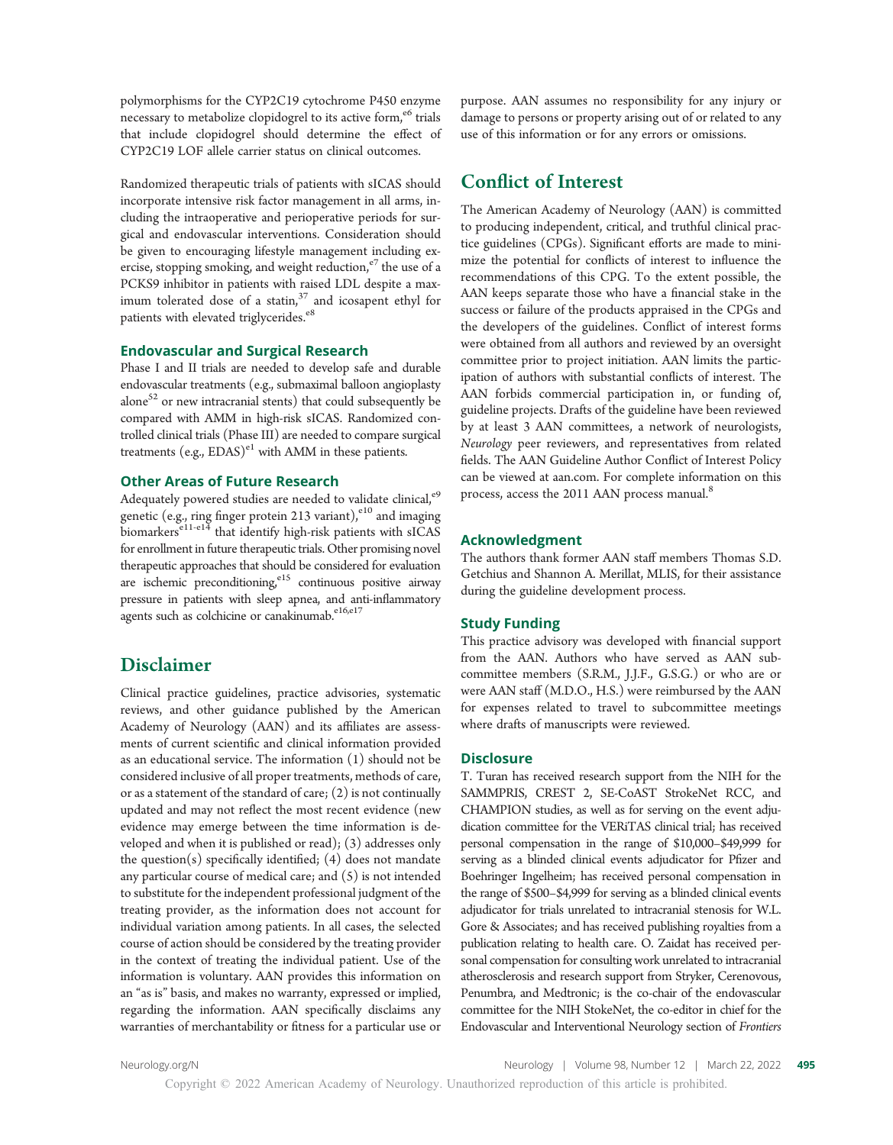polymorphisms for the CYP2C19 cytochrome P450 enzyme necessary to metabolize clopidogrel to its active form, $e<sup>6</sup>$  trials that include clopidogrel should determine the effect of CYP2C19 LOF allele carrier status on clinical outcomes.

Randomized therapeutic trials of patients with sICAS should incorporate intensive risk factor management in all arms, including the intraoperative and perioperative periods for surgical and endovascular interventions. Consideration should be given to encouraging lifestyle management including exercise, stopping smoking, and weight reduction, $e^7$  the use of a PCKS9 inhibitor in patients with raised LDL despite a maximum tolerated dose of a statin, $37$  and icosapent ethyl for patients with elevated triglycerides.<sup>e8</sup>

## Endovascular and Surgical Research

Phase I and II trials are needed to develop safe and durable endovascular treatments (e.g., submaximal balloon angioplasty alone $52$  or new intracranial stents) that could subsequently be compared with AMM in high-risk sICAS. Randomized controlled clinical trials (Phase III) are needed to compare surgical treatments  $(e.g., EDAS)^{e1}$  with AMM in these patients.

## Other Areas of Future Research

Adequately powered studies are needed to validate clinical,<sup>e9</sup> genetic (e.g., ring finger protein 213 variant), $e^{10}$  and imaging biomarkers $e^{11-e14}$  that identify high-risk patients with sICAS for enrollment in future therapeutic trials. Other promising novel therapeutic approaches that should be considered for evaluation are ischemic preconditioning, $e^{15}$  continuous positive airway pressure in patients with sleep apnea, and anti-inflammatory agents such as colchicine or canakinumab. $e^{16, e17}$ 

## Disclaimer

Clinical practice guidelines, practice advisories, systematic reviews, and other guidance published by the American Academy of Neurology (AAN) and its affiliates are assessments of current scientific and clinical information provided as an educational service. The information (1) should not be considered inclusive of all proper treatments, methods of care, or as a statement of the standard of care;  $(2)$  is not continually updated and may not reflect the most recent evidence (new evidence may emerge between the time information is developed and when it is published or read); (3) addresses only the question(s) specifically identified;  $(4)$  does not mandate any particular course of medical care; and (5) is not intended to substitute for the independent professional judgment of the treating provider, as the information does not account for individual variation among patients. In all cases, the selected course of action should be considered by the treating provider in the context of treating the individual patient. Use of the information is voluntary. AAN provides this information on an "as is" basis, and makes no warranty, expressed or implied, regarding the information. AAN specifically disclaims any warranties of merchantability or fitness for a particular use or purpose. AAN assumes no responsibility for any injury or damage to persons or property arising out of or related to any use of this information or for any errors or omissions.

## Conflict of Interest

The American Academy of Neurology (AAN) is committed to producing independent, critical, and truthful clinical practice guidelines (CPGs). Significant efforts are made to minimize the potential for conflicts of interest to influence the recommendations of this CPG. To the extent possible, the AAN keeps separate those who have a financial stake in the success or failure of the products appraised in the CPGs and the developers of the guidelines. Conflict of interest forms were obtained from all authors and reviewed by an oversight committee prior to project initiation. AAN limits the participation of authors with substantial conflicts of interest. The AAN forbids commercial participation in, or funding of, guideline projects. Drafts of the guideline have been reviewed by at least 3 AAN committees, a network of neurologists, Neurology peer reviewers, and representatives from related fields. The AAN Guideline Author Conflict of Interest Policy can be viewed at [aan.com](http://www.aan.com). For complete information on this process, access the 2011 AAN process manual.<sup>8</sup>

#### Acknowledgment

The authors thank former AAN staff members Thomas S.D. Getchius and Shannon A. Merillat, MLIS, for their assistance during the guideline development process.

#### Study Funding

This practice advisory was developed with financial support from the AAN. Authors who have served as AAN subcommittee members (S.R.M., J.J.F., G.S.G.) or who are or were AAN staff (M.D.O., H.S.) were reimbursed by the AAN for expenses related to travel to subcommittee meetings where drafts of manuscripts were reviewed.

## **Disclosure**

T. Turan has received research support from the NIH for the SAMMPRIS, CREST 2, SE-CoAST StrokeNet RCC, and CHAMPION studies, as well as for serving on the event adjudication committee for the VERiTAS clinical trial; has received personal compensation in the range of \$10,000–\$49,999 for serving as a blinded clinical events adjudicator for Pfizer and Boehringer Ingelheim; has received personal compensation in the range of \$500–\$4,999 for serving as a blinded clinical events adjudicator for trials unrelated to intracranial stenosis for W.L. Gore & Associates; and has received publishing royalties from a publication relating to health care. O. Zaidat has received personal compensation for consulting work unrelated to intracranial atherosclerosis and research support from Stryker, Cerenovous, Penumbra, and Medtronic; is the co-chair of the endovascular committee for the NIH StokeNet, the co-editor in chief for the Endovascular and Interventional Neurology section of Frontiers

[Neurology.org/N](http://neurology.org/n) Neurology | Volume 98, Number 12 | March 22, 2022 495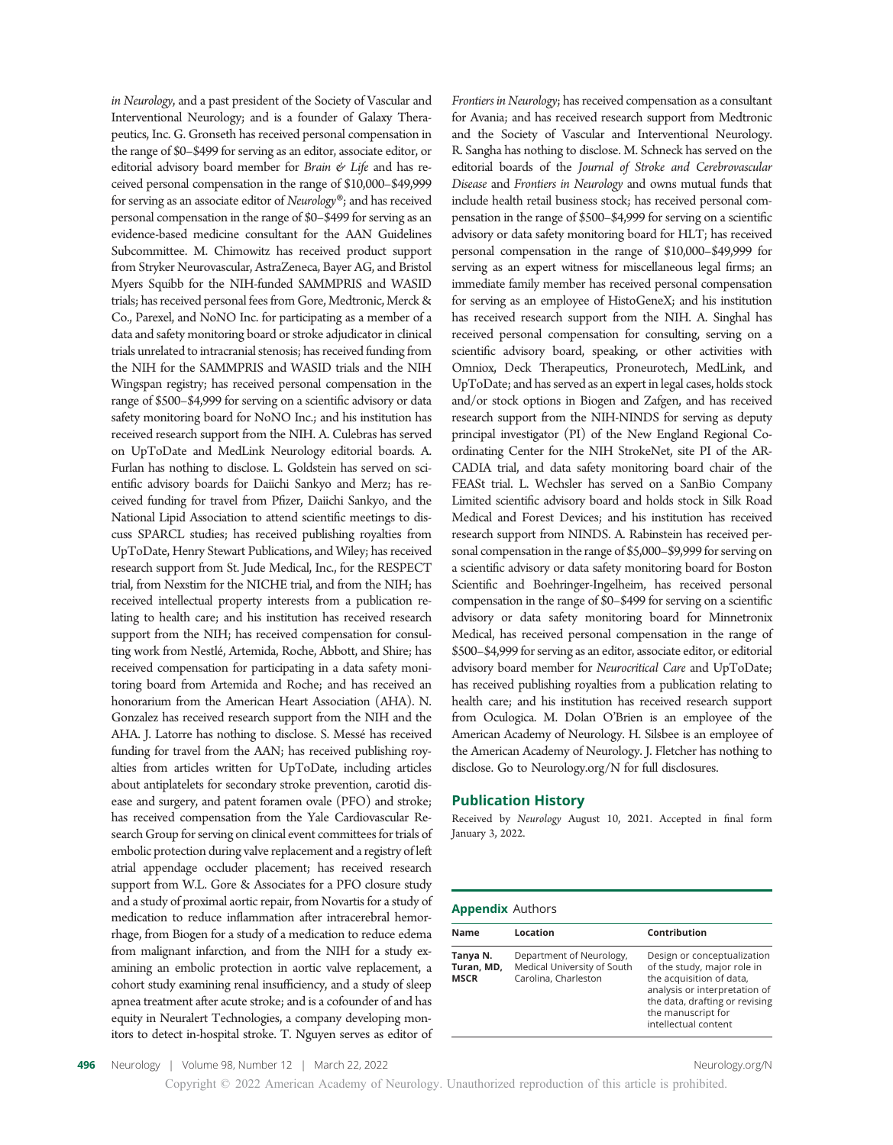in Neurology, and a past president of the Society of Vascular and Interventional Neurology; and is a founder of Galaxy Therapeutics, Inc. G. Gronseth has received personal compensation in the range of \$0–\$499 for serving as an editor, associate editor, or editorial advisory board member for Brain  $\mathcal C$  Life and has received personal compensation in the range of \$10,000–\$49,999 for serving as an associate editor of Neurology®; and has received personal compensation in the range of \$0–\$499 for serving as an evidence-based medicine consultant for the AAN Guidelines Subcommittee. M. Chimowitz has received product support from Stryker Neurovascular, AstraZeneca, Bayer AG, and Bristol Myers Squibb for the NIH-funded SAMMPRIS and WASID trials; has received personal fees from Gore, Medtronic, Merck & Co., Parexel, and NoNO Inc. for participating as a member of a data and safety monitoring board or stroke adjudicator in clinical trials unrelated to intracranial stenosis; has received funding from the NIH for the SAMMPRIS and WASID trials and the NIH Wingspan registry; has received personal compensation in the range of \$500–\$4,999 for serving on a scientific advisory or data safety monitoring board for NoNO Inc.; and his institution has received research support from the NIH. A. Culebras has served on UpToDate and MedLink Neurology editorial boards. A. Furlan has nothing to disclose. L. Goldstein has served on scientific advisory boards for Daiichi Sankyo and Merz; has received funding for travel from Pfizer, Daiichi Sankyo, and the National Lipid Association to attend scientific meetings to discuss SPARCL studies; has received publishing royalties from UpToDate, Henry Stewart Publications, and Wiley; has received research support from St. Jude Medical, Inc., for the RESPECT trial, from Nexstim for the NICHE trial, and from the NIH; has received intellectual property interests from a publication relating to health care; and his institution has received research support from the NIH; has received compensation for consulting work from Nestlé, Artemida, Roche, Abbott, and Shire; has received compensation for participating in a data safety monitoring board from Artemida and Roche; and has received an honorarium from the American Heart Association (AHA). N. Gonzalez has received research support from the NIH and the AHA. J. Latorre has nothing to disclose. S. Messé has received funding for travel from the AAN; has received publishing royalties from articles written for UpToDate, including articles about antiplatelets for secondary stroke prevention, carotid disease and surgery, and patent foramen ovale (PFO) and stroke; has received compensation from the Yale Cardiovascular Research Group for serving on clinical event committees for trials of embolic protection during valve replacement and a registry of left atrial appendage occluder placement; has received research support from W.L. Gore & Associates for a PFO closure study and a study of proximal aortic repair, from Novartis for a study of medication to reduce inflammation after intracerebral hemorrhage, from Biogen for a study of a medication to reduce edema from malignant infarction, and from the NIH for a study examining an embolic protection in aortic valve replacement, a cohort study examining renal insufficiency, and a study of sleep apnea treatment after acute stroke; and is a cofounder of and has equity in Neuralert Technologies, a company developing monitors to detect in-hospital stroke. T. Nguyen serves as editor of Frontiers in Neurology; has received compensation as a consultant for Avania; and has received research support from Medtronic and the Society of Vascular and Interventional Neurology. R. Sangha has nothing to disclose. M. Schneck has served on the editorial boards of the Journal of Stroke and Cerebrovascular Disease and Frontiers in Neurology and owns mutual funds that include health retail business stock; has received personal compensation in the range of \$500–\$4,999 for serving on a scientific advisory or data safety monitoring board for HLT; has received personal compensation in the range of \$10,000–\$49,999 for serving as an expert witness for miscellaneous legal firms; an immediate family member has received personal compensation for serving as an employee of HistoGeneX; and his institution has received research support from the NIH. A. Singhal has received personal compensation for consulting, serving on a scientific advisory board, speaking, or other activities with Omniox, Deck Therapeutics, Proneurotech, MedLink, and UpToDate; and has served as an expert in legal cases, holds stock and/or stock options in Biogen and Zafgen, and has received research support from the NIH-NINDS for serving as deputy principal investigator (PI) of the New England Regional Coordinating Center for the NIH StrokeNet, site PI of the AR-CADIA trial, and data safety monitoring board chair of the FEASt trial. L. Wechsler has served on a SanBio Company Limited scientific advisory board and holds stock in Silk Road Medical and Forest Devices; and his institution has received research support from NINDS. A. Rabinstein has received personal compensation in the range of \$5,000–\$9,999 for serving on a scientific advisory or data safety monitoring board for Boston Scientific and Boehringer-Ingelheim, has received personal compensation in the range of \$0–\$499 for serving on a scientific advisory or data safety monitoring board for Minnetronix Medical, has received personal compensation in the range of \$500–\$4,999 for serving as an editor, associate editor, or editorial advisory board member for Neurocritical Care and UpToDate; has received publishing royalties from a publication relating to health care; and his institution has received research support from Oculogica. M. Dolan O'Brien is an employee of the American Academy of Neurology. H. Silsbee is an employee of the American Academy of Neurology. J. Fletcher has nothing to disclose. Go to [Neurology.org/N](https://n.neurology.org/lookup/doi/10.1212/WNL.0000000000200030) for full disclosures.

## Publication History

Received by Neurology August 10, 2021. Accepted in final form January 3, 2022.

#### Appendix Authors

| <b>Name</b>                           | Location                                                                        | Contribution                                                                                                                                                                                            |
|---------------------------------------|---------------------------------------------------------------------------------|---------------------------------------------------------------------------------------------------------------------------------------------------------------------------------------------------------|
| Tanya N.<br>Turan, MD,<br><b>MSCR</b> | Department of Neurology,<br>Medical University of South<br>Carolina, Charleston | Design or conceptualization<br>of the study, major role in<br>the acquisition of data,<br>analysis or interpretation of<br>the data, drafting or revising<br>the manuscript for<br>intellectual content |

Copyright © 2022 American Academy of Neurology. Unauthorized reproduction of this article is prohibited.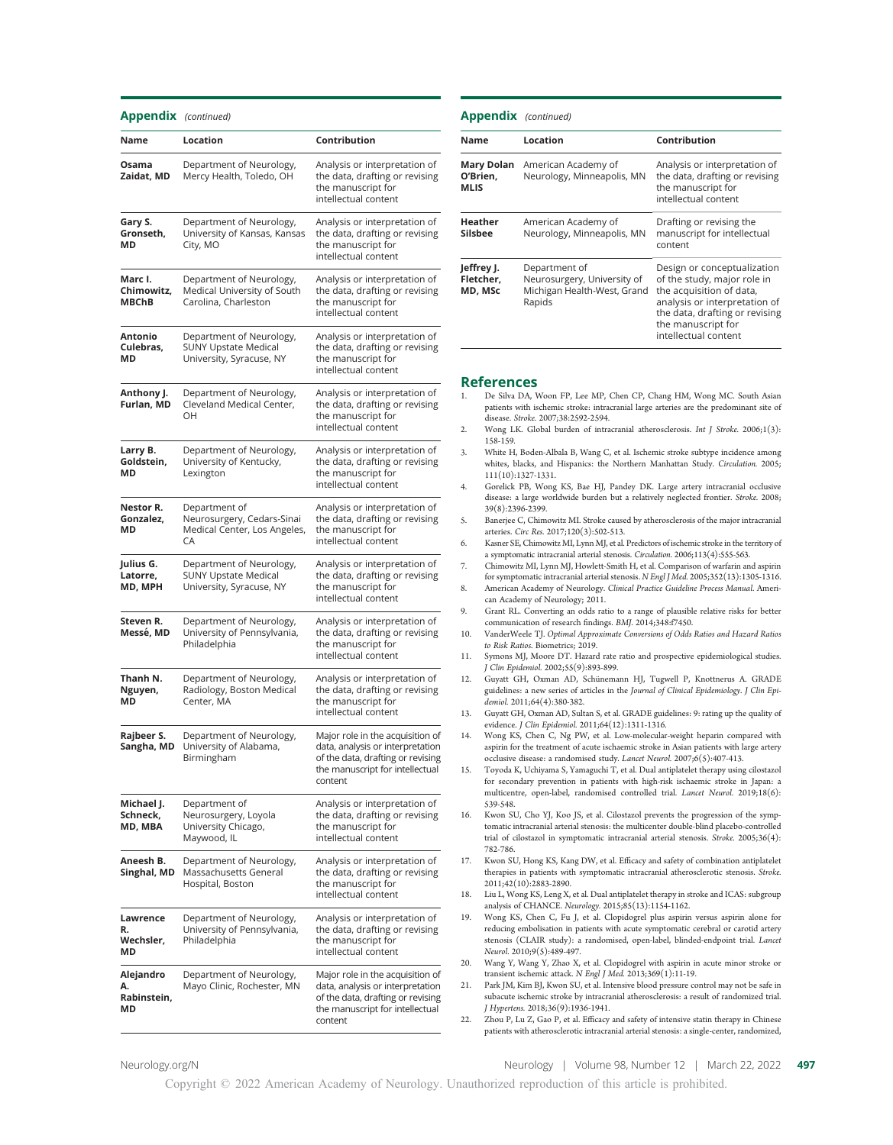#### Appendix (continued)

| Name                                  | Location                                                                            | Contribution                                                                                                                                            |
|---------------------------------------|-------------------------------------------------------------------------------------|---------------------------------------------------------------------------------------------------------------------------------------------------------|
| Osama<br>Zaidat, MD                   | Department of Neurology,<br>Mercy Health, Toledo, OH                                | Analysis or interpretation of<br>the data, drafting or revising<br>the manuscript for<br>intellectual content                                           |
| Gary S.<br>Gronseth,<br>МD            | Department of Neurology,<br>University of Kansas, Kansas<br>City, MO                | Analysis or interpretation of<br>the data, drafting or revising<br>the manuscript for<br>intellectual content                                           |
| Marc I.<br>Chimowitz,<br><b>MBChB</b> | Department of Neurology,<br>Medical University of South<br>Carolina, Charleston     | Analysis or interpretation of<br>the data, drafting or revising<br>the manuscript for<br>intellectual content                                           |
| Antonio<br>Culebras,<br>МD            | Department of Neurology,<br><b>SUNY Upstate Medical</b><br>University, Syracuse, NY | Analysis or interpretation of<br>the data, drafting or revising<br>the manuscript for<br>intellectual content                                           |
| Anthony J.<br>Furlan, MD              | Department of Neurology,<br>Cleveland Medical Center,<br>OН                         | Analysis or interpretation of<br>the data, drafting or revising<br>the manuscript for<br>intellectual content                                           |
| Larry B.<br>Goldstein,<br>MD          | Department of Neurology,<br>University of Kentucky,<br>Lexington                    | Analysis or interpretation of<br>the data, drafting or revising<br>the manuscript for<br>intellectual content                                           |
| Nestor R.<br>Gonzalez,<br>МD          | Department of<br>Neurosurgery, Cedars-Sinai<br>Medical Center, Los Angeles,<br>CA   | Analysis or interpretation of<br>the data, drafting or revising<br>the manuscript for<br>intellectual content                                           |
| Julius G.<br>Latorre,<br>MD, MPH      | Department of Neurology,<br><b>SUNY Upstate Medical</b><br>University, Syracuse, NY | Analysis or interpretation of<br>the data, drafting or revising<br>the manuscript for<br>intellectual content                                           |
| Steven R.<br>Messe, MD                | Department of Neurology,<br>University of Pennsylvania,<br>Philadelphia             | Analysis or interpretation of<br>the data, drafting or revising<br>the manuscript for<br>intellectual content                                           |
| Thanh N.<br>Nguyen,<br>МD             | Department of Neurology,<br>Radiology, Boston Medical<br>Center, MA                 | Analysis or interpretation of<br>the data, drafting or revising<br>the manuscript for<br>intellectual content                                           |
| Rajbeer S.<br>Sangha, MD              | Department of Neurology,<br>University of Alabama,<br>Birmingham                    | Major role in the acquisition of<br>data, analysis or interpretation<br>of the data, drafting or revising<br>the manuscript for intellectual<br>content |
| Michael J.<br>Schneck,<br>MD, MBA     | Department of<br>Neurosurgery, Loyola<br>University Chicago,<br>Maywood, IL         | Analysis or interpretation of<br>the data, drafting or revising<br>the manuscript for<br>intellectual content                                           |
| Aneesh B.<br>Singhal, MD              | Department of Neurology,<br>Massachusetts General<br>Hospital, Boston               | Analysis or interpretation of<br>the data, drafting or revising<br>the manuscript for<br>intellectual content                                           |
| Lawrence<br>R.<br>Wechsler,<br>МD     | Department of Neurology,<br>University of Pennsylvania,<br>Philadelphia             | Analysis or interpretation of<br>the data, drafting or revising<br>the manuscript for<br>intellectual content                                           |
| Alejandro<br>Α.<br>Rabinstein,<br>MD  | Department of Neurology,<br>Mayo Clinic, Rochester, MN                              | Major role in the acquisition of<br>data, analysis or interpretation<br>of the data, drafting or revising<br>the manuscript for intellectual<br>content |

| <b>Appendix</b> (continued)           |                                                                                       |                                                                                                                                                                                                         |
|---------------------------------------|---------------------------------------------------------------------------------------|---------------------------------------------------------------------------------------------------------------------------------------------------------------------------------------------------------|
| <b>Name</b>                           | Location                                                                              | Contribution                                                                                                                                                                                            |
| <b>Mary Dolan</b><br>O'Brien,<br>MLIS | American Academy of<br>Neurology, Minneapolis, MN                                     | Analysis or interpretation of<br>the data, drafting or revising<br>the manuscript for<br>intellectual content                                                                                           |
| Heather<br><b>Silsbee</b>             | American Academy of<br>Neurology, Minneapolis, MN                                     | Drafting or revising the<br>manuscript for intellectual<br>content                                                                                                                                      |
| Jeffrey J.<br>Fletcher,<br>MD, MSc    | Department of<br>Neurosurgery, University of<br>Michigan Health-West, Grand<br>Rapids | Design or conceptualization<br>of the study, major role in<br>the acquisition of data,<br>analysis or interpretation of<br>the data, drafting or revising<br>the manuscript for<br>intellectual content |

#### References

- 1. De Silva DA, Woon FP, Lee MP, Chen CP, Chang HM, Wong MC. South Asian patients with ischemic stroke: intracranial large arteries are the predominant site of disease. Stroke. 2007;38:2592-2594.
- 2. Wong LK. Global burden of intracranial atherosclerosis. Int J Stroke. 2006;1(3): 158-159.
- 3. White H, Boden-Albala B, Wang C, et al. Ischemic stroke subtype incidence among whites, blacks, and Hispanics: the Northern Manhattan Study. Circulation. 2005; 111(10):1327-1331.
- 4. Gorelick PB, Wong KS, Bae HJ, Pandey DK. Large artery intracranial occlusive disease: a large worldwide burden but a relatively neglected frontier. Stroke. 2008; 39(8):2396-2399.
- 5. Banerjee C, Chimowitz MI. Stroke caused by atherosclerosis of the major intracranial arteries. Circ Res. 2017;120(3):502-513.
- 6. Kasner SE, Chimowitz MI, Lynn MJ, et al. Predictors of ischemic stroke in the territory of a symptomatic intracranial arterial stenosis. Circulation. 2006;113(4):555-563.
- 7. Chimowitz MI, Lynn MJ, Howlett-Smith H, et al. Comparison of warfarin and aspirin for symptomatic intracranial arterial stenosis. N Engl J Med. 2005;352(13):1305-1316.
- 8. American Academy of Neurology. Clinical Practice Guideline Process Manual. American Academy of Neurology; 2011.
- 9. Grant RL. Converting an odds ratio to a range of plausible relative risks for better communication of research findings. BMJ. 2014;348:f7450.
- 10. VanderWeele TJ. Optimal Approximate Conversions of Odds Ratios and Hazard Ratios to Risk Ratios. Biometrics; 2019.
- 11. Symons MJ, Moore DT. Hazard rate ratio and prospective epidemiological studies. J Clin Epidemiol. 2002;55(9):893-899.
- 12. Guyatt GH, Oxman AD, Schünemann HJ, Tugwell P, Knottnerus A. GRADE guidelines: a new series of articles in the Journal of Clinical Epidemiology. J Clin Epidemiol. 2011;64(4):380-382.
- 13. Guyatt GH, Oxman AD, Sultan S, et al. GRADE guidelines: 9: rating up the quality of evidence. J Clin Epidemiol. 2011;64(12):1311-1316.
- 14. Wong KS, Chen C, Ng PW, et al. Low-molecular-weight heparin compared with aspirin for the treatment of acute ischaemic stroke in Asian patients with large artery occlusive disease: a randomised study. Lancet Neurol. 2007;6(5):407-413.
- 15. Toyoda K, Uchiyama S, Yamaguchi T, et al. Dual antiplatelet therapy using cilostazol for secondary prevention in patients with high-risk ischaemic stroke in Japan: a multicentre, open-label, randomised controlled trial. Lancet Neurol. 2019;18(6): 539-548.
- 16. Kwon SU, Cho YJ, Koo JS, et al. Cilostazol prevents the progression of the symptomatic intracranial arterial stenosis: the multicenter double-blind placebo-controlled trial of cilostazol in symptomatic intracranial arterial stenosis. Stroke. 2005;36(4): 782-786.
- 17. Kwon SU, Hong KS, Kang DW, et al. Efficacy and safety of combination antiplatelet therapies in patients with symptomatic intracranial atherosclerotic stenosis. Stroke. 2011;42(10):2883-2890.
- 18. Liu L, Wong KS, Leng X, et al. Dual antiplatelet therapy in stroke and ICAS: subgroup analysis of CHANCE. Neurology. 2015;85(13):1154-1162.
- 19. Wong KS, Chen C, Fu J, et al. Clopidogrel plus aspirin versus aspirin alone for reducing embolisation in patients with acute symptomatic cerebral or carotid artery stenosis (CLAIR study): a randomised, open-label, blinded-endpoint trial. Lancet Neurol. 2010;9(5):489-497.
- 20. Wang Y, Wang Y, Zhao X, et al. Clopidogrel with aspirin in acute minor stroke or transient ischemic attack. N Engl J Med. 2013;369(1):11-19.
- 21. Park JM, Kim BJ, Kwon SU, et al. Intensive blood pressure control may not be safe in subacute ischemic stroke by intracranial atherosclerosis: a result of randomized trial. J Hypertens. 2018;36(9):1936-1941.
- 22. Zhou P, Lu Z, Gao P, et al. Efficacy and safety of intensive statin therapy in Chinese patients with atherosclerotic intracranial arterial stenosis: a single-center, randomized,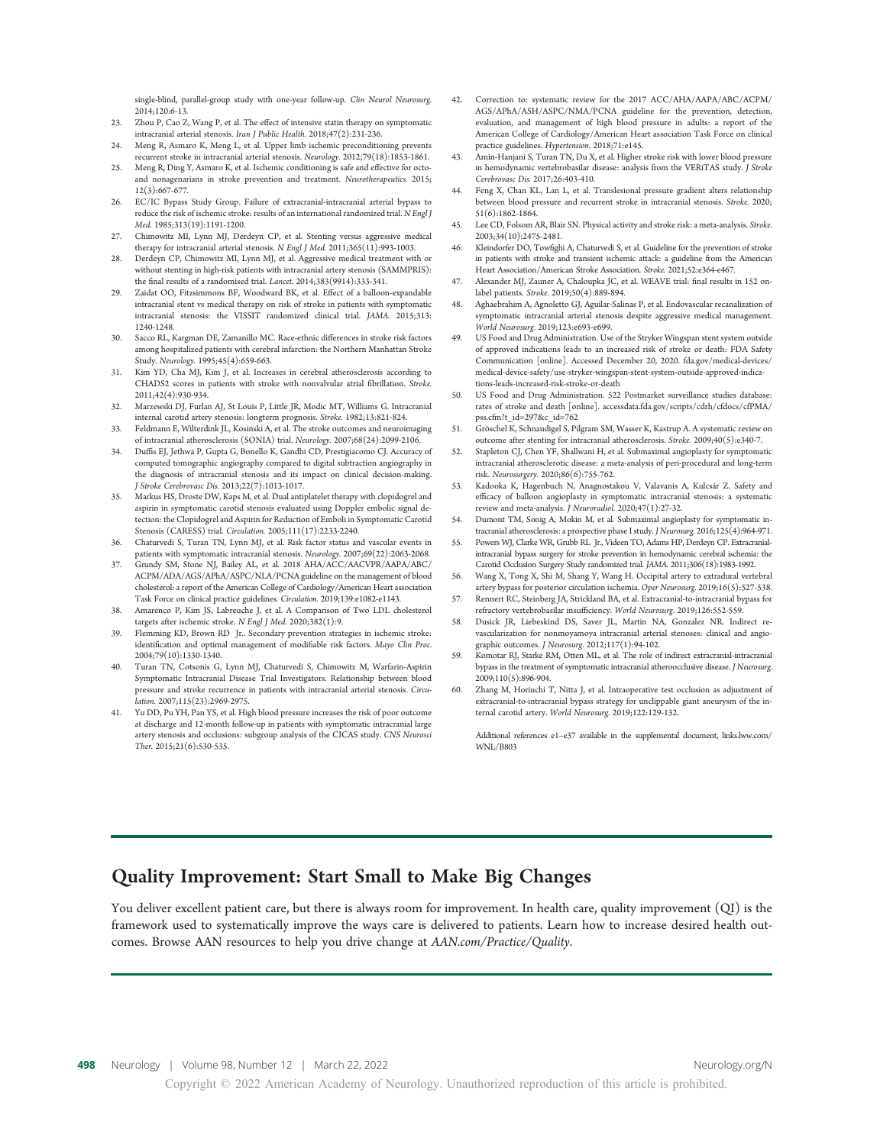single-blind, parallel-group study with one-year follow-up. Clin Neurol Neurosurg. 2014;120:6-13.

- 23. Zhou P, Cao Z, Wang P, et al. The effect of intensive statin therapy on symptomatic intracranial arterial stenosis. Iran J Public Health. 2018;47(2):231-236.
- 24. Meng R, Asmaro K, Meng L, et al. Upper limb ischemic preconditioning prevents recurrent stroke in intracranial arterial stenosis. Neurology. 2012;79(18):1853-1861.
- 25. Meng R, Ding Y, Asmaro K, et al. Ischemic conditioning is safe and effective for octoand nonagenarians in stroke prevention and treatment. Neurotherapeutics. 2015; 12(3):667-677.
- 26. EC/IC Bypass Study Group. Failure of extracranial-intracranial arterial bypass to reduce the risk of ischemic stroke: results of an international randomized trial. N Engl J Med. 1985;313(19):1191-1200.
- 27. Chimowitz MI, Lynn MJ, Derdeyn CP, et al. Stenting versus aggressive medical therapy for intracranial arterial stenosis. N Engl J Med. 2011;365(11):993-1003.
- 28. Derdeyn CP, Chimowitz MI, Lynn MJ, et al. Aggressive medical treatment with or without stenting in high-risk patients with intracranial artery stenosis (SAMMPRIS): the final results of a randomised trial. Lancet. 2014;383(9914):333-341.
- Zaidat OO, Fitzsimmons BF, Woodward BK, et al. Effect of a balloon-expandable intracranial stent vs medical therapy on risk of stroke in patients with symptomatic intracranial stenosis: the VISSIT randomized clinical trial. JAMA. 2015;313: 1240-1248.
- 30. Sacco RL, Kargman DE, Zamanillo MC. Race-ethnic differences in stroke risk factors among hospitalized patients with cerebral infarction: the Northern Manhattan Stroke Study. Neurology. 1995;45(4):659-663.
- 31. Kim YD, Cha MJ, Kim J, et al. Increases in cerebral atherosclerosis according to CHADS2 scores in patients with stroke with nonvalvular atrial fibrillation. Stroke. 2011;42(4):930-934.
- 32. Marzewski DJ, Furlan AJ, St Louis P, Little JR, Modic MT, Williams G. Intracranial internal carotid artery stenosis: longterm prognosis. Stroke. 1982;13:821-824.
- 33. Feldmann E, Wilterdink JL, Kosinski A, et al. The stroke outcomes and neuroimaging of intracranial atherosclerosis (SONIA) trial. Neurology. 2007;68(24):2099-2106.
- 34. Duffis EJ, Jethwa P, Gupta G, Bonello K, Gandhi CD, Prestigiacomo CJ. Accuracy of computed tomographic angiography compared to digital subtraction angiography in the diagnosis of intracranial stenosis and its impact on clinical decision-making. J Stroke Cerebrovasc Dis. 2013;22(7):1013-1017.
- 35. Markus HS, Droste DW, Kaps M, et al. Dual antiplatelet therapy with clopidogrel and aspirin in symptomatic carotid stenosis evaluated using Doppler embolic signal detection: the Clopidogrel and Aspirin for Reduction of Emboli in Symptomatic Carotid Stenosis (CARESS) trial. Circulation. 2005;111(17):2233-2240.
- 36. Chaturvedi S, Turan TN, Lynn MJ, et al. Risk factor status and vascular events in patients with symptomatic intracranial stenosis. Neurology. 2007;69(22):2063-2068.
- 37. Grundy SM, Stone NJ, Bailey AL, et al. 2018 AHA/ACC/AACVPR/AAPA/ABC/ ACPM/ADA/AGS/APhA/ASPC/NLA/PCNA guideline on the management of blood cholesterol: a report of the American College of Cardiology/American Heart association Task Force on clinical practice guidelines. Circulation. 2019;139:e1082-e1143.
- 38. Amarenco P, Kim JS, Labreuche J, et al. A Comparison of Two LDL cholesterol targets after ischemic stroke. N Engl J Med. 2020;382(1):9.
- 39. Flemming KD, Brown RD Jr.. Secondary prevention strategies in ischemic stroke: identification and optimal management of modifiable risk factors. Mayo Clin Proc. 2004;79(10):1330-1340.
- 40. Turan TN, Cotsonis G, Lynn MJ, Chaturvedi S, Chimowitz M, Warfarin-Aspirin Symptomatic Intracranial Disease Trial Investigators. Relationship between blood pressure and stroke recurrence in patients with intracranial arterial stenosis. Circulation. 2007;115(23):2969-2975.
- 41. Yu DD, Pu YH, Pan YS, et al. High blood pressure increases the risk of poor outcome at discharge and 12-month follow-up in patients with symptomatic intracranial large artery stenosis and occlusions: subgroup analysis of the CICAS study. CNS Neurosci Ther. 2015;21(6):530-535.
- 42. Correction to: systematic review for the 2017 ACC/AHA/AAPA/ABC/ACPM/ AGS/APhA/ASH/ASPC/NMA/PCNA guideline for the prevention, detection, evaluation, and management of high blood pressure in adults: a report of the American College of Cardiology/American Heart association Task Force on clinical practice guidelines. Hypertension. 2018;71:e145.
- 43. Amin-Hanjani S, Turan TN, Du X, et al. Higher stroke risk with lower blood pressure in hemodynamic vertebrobasilar disease: analysis from the VERiTAS study. J Stroke Cerebrovasc Dis. 2017;26:403-410.
- 44. Feng X, Chan KL, Lan L, et al. Translesional pressure gradient alters relationship between blood pressure and recurrent stroke in intracranial stenosis. Stroke. 2020; 51(6):1862-1864.
- 45. Lee CD, Folsom AR, Blair SN. Physical activity and stroke risk: a meta-analysis. Stroke. 2003;34(10):2475-2481.
- 46. Kleindorfer DO, Towfighi A, Chaturvedi S, et al. Guideline for the prevention of stroke in patients with stroke and transient ischemic attack: a guideline from the American Heart Association/American Stroke Association. Stroke. 2021;52:e364-e467.
- 47. Alexander MJ, Zauner A, Chaloupka JC, et al. WEAVE trial: final results in 152 onlabel patients. Stroke. 2019;50(4):889-894.
- 48. Aghaebrahim A, Agnoletto GJ, Aguilar-Salinas P, et al. Endovascular recanalization of symptomatic intracranial arterial stenosis despite aggressive medical management. World Neurosurg. 2019;123:e693-e699.
- US Food and Drug Administration. Use of the Stryker Wingspan stent system outside of approved indications leads to an increased risk of stroke or death: FDA Safety Communication [online]. Accessed December 20, 2020. [fda.gov/medical-devices/](http://fda.gov/medical-devices/medical-device-safety/use-stryker-wingspan-stent-system-outside-approved-indications-leads-increased-risk-stroke-or-death) [medical-device-safety/use-stryker-wingspan-stent-system-outside-approved-indica](http://fda.gov/medical-devices/medical-device-safety/use-stryker-wingspan-stent-system-outside-approved-indications-leads-increased-risk-stroke-or-death)[tions-leads-increased-risk-stroke-or-death](http://fda.gov/medical-devices/medical-device-safety/use-stryker-wingspan-stent-system-outside-approved-indications-leads-increased-risk-stroke-or-death)
- 50. US Food and Drug Administration. 522 Postmarket surveillance studies database: rates of stroke and death [online]. [accessdata.fda.gov/scripts/cdrh/cfdocs/cfPMA/](http://accessdata.fda.gov/scripts/cdrh/cfdocs/cfPMA/pss.cfm?t_id=297&c_id=762) [pss.cfm?t\\_id=297&c\\_id=762](http://accessdata.fda.gov/scripts/cdrh/cfdocs/cfPMA/pss.cfm?t_id=297&c_id=762)
- 51. Gröschel K, Schnaudigel S, Pilgram SM, Wasser K, Kastrup A. A systematic review on outcome after stenting for intracranial atherosclerosis. Stroke. 2009;40(5):e340-7.
- 52. Stapleton CJ, Chen YF, Shallwani H, et al. Submaximal angioplasty for symptomatic intracranial atherosclerotic disease: a meta-analysis of peri-procedural and long-term risk. Neurosurgery. 2020;86(6):755-762.
- 53. Kadooka K, Hagenbuch N, Anagnostakou V, Valavanis A, Kulcsár Z. Safety and efficacy of balloon angioplasty in symptomatic intracranial stenosis: a systematic review and meta-analysis. J Neuroradiol. 2020;47(1):27-32.
- 54. Dumont TM, Sonig A, Mokin M, et al. Submaximal angioplasty for symptomatic intracranial atherosclerosis: a prospective phase I study. J Neurosurg. 2016;125(4):964-971.
- 55. Powers WJ, Clarke WR, Grubb RL Jr., Videen TO, Adams HP, Derdeyn CP. Extracranialintracranial bypass surgery for stroke prevention in hemodynamic cerebral ischemia: the Carotid Occlusion Surgery Study randomized trial. JAMA. 2011;306(18):1983-1992.
- 56. Wang X, Tong X, Shi M, Shang Y, Wang H. Occipital artery to extradural vertebral artery bypass for posterior circulation ischemia. Oper Neurosurg. 2019;16(5):527-538.
- 57. Rennert RC, Steinberg JA, Strickland BA, et al. Extracranial-to-intracranial bypass for refractory vertebrobasilar insufficiency. World Neurosurg. 2019;126:552-559.
- 58. Dusick JR, Liebeskind DS, Saver JL, Martin NA, Gonzalez NR. Indirect revascularization for nonmoyamoya intracranial arterial stenoses: clinical and angiographic outcomes. J Neurosurg. 2012;117(1):94-102.
- Komotar RJ, Starke RM, Otten ML, et al. The role of indirect extracranial-intracranial bypass in the treatment of symptomatic intracranial atheroocclusive disease. J Neurosurg. 2009;110(5):896-904.
- 60. Zhang M, Horiuchi T, Nitta J, et al. Intraoperative test occlusion as adjustment of extracranial-to-intracranial bypass strategy for unclippable giant aneurysm of the internal carotid artery. World Neurosurg. 2019;122:129-132.

Additional references e1–e37 available in the supplemental document, [links.lww.com/](http://links.lww.com/WNL/B803) [WNL/B803](http://links.lww.com/WNL/B803)

# Quality Improvement: Start Small to Make Big Changes

You deliver excellent patient care, but there is always room for improvement. In health care, quality improvement (QI) is the framework used to systematically improve the ways care is delivered to patients. Learn how to increase desired health outcomes. Browse AAN resources to help you drive change at AAN.com/Practice/Quality.